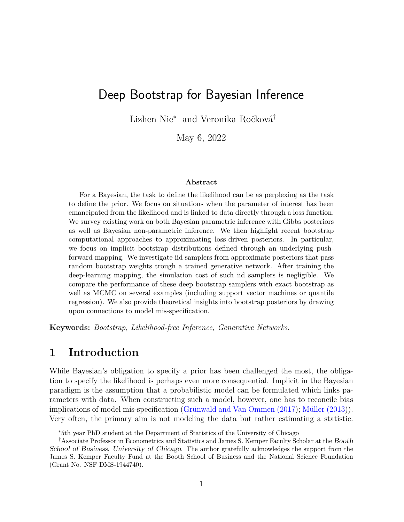# Deep Bootstrap for Bayesian Inference

Lizhen Nie<sup>∗</sup> and Veronika Ročková†

May 6, 2022

#### **Abstract**

For a Bayesian, the task to define the likelihood can be as perplexing as the task to define the prior. We focus on situations when the parameter of interest has been emancipated from the likelihood and is linked to data directly through a loss function. We survey existing work on both Bayesian parametric inference with Gibbs posteriors as well as Bayesian non-parametric inference. We then highlight recent bootstrap computational approaches to approximating loss-driven posteriors. In particular, we focus on implicit bootstrap distributions defined through an underlying pushforward mapping. We investigate iid samplers from approximate posteriors that pass random bootstrap weights trough a trained generative network. After training the deep-learning mapping, the simulation cost of such iid samplers is negligible. We compare the performance of these deep bootstrap samplers with exact bootstrap as well as MCMC on several examples (including support vector machines or quantile regression). We also provide theoretical insights into bootstrap posteriors by drawing upon connections to model mis-specification.

**Keywords:** *Bootstrap, Likelihood-free Inference, Generative Networks.*

## **1 Introduction**

While Bayesian's obligation to specify a prior has been challenged the most, the obligation to specify the likelihood is perhaps even more consequential. Implicit in the Bayesian paradigm is the assumption that a probabilistic model can be formulated which links parameters with data. When constructing such a model, however, one has to reconcile bias implications of model mis-specification [\(Grünwald and Van Ommen \(2017\)](#page-23-0); [Müller \(2013\)](#page-24-0)). Very often, the primary aim is not modeling the data but rather estimating a statistic.

<sup>∗</sup>5th year PhD student at the Department of Statistics of the University of Chicago

<sup>†</sup>Associate Professor in Econometrics and Statistics and James S. Kemper Faculty Scholar at the Booth School of Business, University of Chicago. The author gratefully acknowledges the support from the James S. Kemper Faculty Fund at the Booth School of Business and the National Science Foundation (Grant No. NSF DMS-1944740).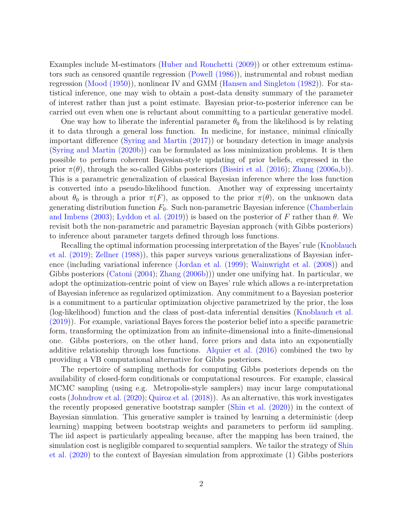Examples include M-estimators [\(Huber and Ronchetti \(2009\)](#page-23-1)) or other extremum estimators such as censored quantile regression [\(Powell \(1986\)](#page-25-0)), instrumental and robust median regression [\(Mood \(1950\)](#page-24-1)), nonlinear IV and GMM [\(Hansen and Singleton \(1982\)](#page-23-2)). For statistical inference, one may wish to obtain a post-data density summary of the parameter of interest rather than just a point estimate. Bayesian prior-to-posterior inference can be carried out even when one is reluctant about committing to a particular generative model.

One way how to liberate the inferential parameter  $\theta_0$  from the likelihood is by relating it to data through a general loss function. In medicine, for instance, minimal clinically important difference [\(Syring and Martin \(2017\)](#page-26-0)) or boundary detection in image analysis [\(Syring and Martin \(2020b\)](#page-26-1)) can be formulated as loss minimization problems. It is then possible to perform coherent Bayesian-style updating of prior beliefs, expressed in the prior  $\pi(\theta)$ , through the so-called Gibbs posteriors [\(Bissiri et al. \(2016\)](#page-21-0); [Zhang \(2006a,](#page-26-2)[b\)](#page-26-3)). This is a parametric generalization of classical Bayesian inference where the loss function is converted into a pseudo-likelihood function. Another way of expressing uncertainty about  $\theta_0$  is through a prior  $\pi(F)$ , as opposed to the prior  $\pi(\theta)$ , on the unknown data generating distribution function  $F_0$ . Such non-parametric Bayesian inference [\(Chamberlain](#page-21-1) [and Imbens \(2003\)](#page-21-1); [Lyddon et al. \(2019\)](#page-24-2)) is based on the posterior of *F* rather than *θ*. We revisit both the non-parametric and parametric Bayesian approach (with Gibbs posteriors) to inference about parameter targets defined through loss functions.

Recalling the optimal information processing interpretation of the Bayes' rule [\(Knoblauch](#page-23-3) [et al. \(2019\)](#page-23-3); [Zellner \(1988\)](#page-26-4)), this paper surveys various generalizations of Bayesian inference (including variational inference [\(Jordan et al. \(1999\)](#page-23-4); [Wainwright et al. \(2008\)](#page-26-5)) and Gibbs posteriors [\(Catoni \(2004\)](#page-21-2); [Zhang \(2006b\)](#page-26-3))) under one unifying hat. In particular, we adopt the optimization-centric point of view on Bayes' rule which allows a re-interpretation of Bayesian inference as regularized optimization. Any commitment to a Bayesian posterior is a commitment to a particular optimization objective parametrized by the prior, the loss (log-likelihood) function and the class of post-data inferential densities [\(Knoblauch et al.](#page-23-3) [\(2019\)](#page-23-3)). For example, variational Bayes forces the posterior belief into a specific parametric form, transforming the optimization from an infinite-dimensional into a finite-dimensional one. Gibbs posteriors, on the other hand, force priors and data into an exponentially additive relationship through loss functions. [Alquier et al. \(2016\)](#page-21-3) combined the two by providing a VB computational alternative for Gibbs posteriors.

The repertoire of sampling methods for computing Gibbs posteriors depends on the availability of closed-form conditionals or computational resources. For example, classical MCMC sampling (using e.g. Metropolis-style samplers) may incur large computational costs [\(Johndrow et al. \(2020\)](#page-23-5); [Quiroz et al. \(2018\)](#page-25-1)). As an alternative, this work investigates the recently proposed generative bootstrap sampler [\(Shin et al. \(2020\)](#page-26-6)) in the context of Bayesian simulation. This generative sampler is trained by learning a deterministic (deep learning) mapping between bootstrap weights and parameters to perform iid sampling. The iid aspect is particularly appealing because, after the mapping has been trained, the simulation cost is negligible compared to sequential samplers. We tailor the strategy of [Shin](#page-26-6) [et al. \(2020\)](#page-26-6) to the context of Bayesian simulation from approximate (1) Gibbs posteriors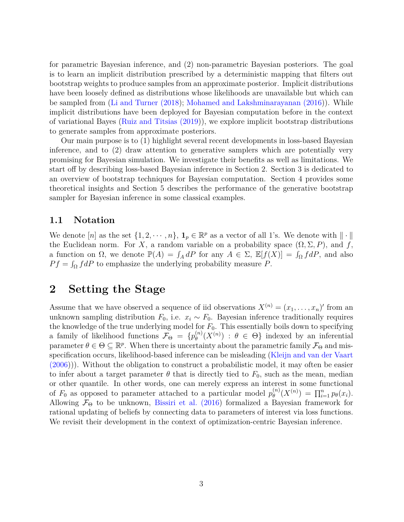for parametric Bayesian inference, and (2) non-parametric Bayesian posteriors. The goal is to learn an implicit distribution prescribed by a deterministic mapping that filters out bootstrap weights to produce samples from an approximate posterior. Implicit distributions have been loosely defined as distributions whose likelihoods are unavailable but which can be sampled from [\(Li and Turner \(2018\)](#page-24-3); [Mohamed and Lakshminarayanan \(2016\)](#page-24-4)). While implicit distributions have been deployed for Bayesian computation before in the context of variational Bayes [\(Ruiz and Titsias \(2019\)](#page-25-2)), we explore implicit bootstrap distributions to generate samples from approximate posteriors.

Our main purpose is to (1) highlight several recent developments in loss-based Bayesian inference, and to (2) draw attention to generative samplers which are potentially very promising for Bayesian simulation. We investigate their benefits as well as limitations. We start off by describing loss-based Bayesian inference in Section 2. Section 3 is dedicated to an overview of bootstrap techniques for Bayesian computation. Section 4 provides some theoretical insights and Section 5 describes the performance of the generative bootstrap sampler for Bayesian inference in some classical examples.

### **1.1 Notation**

We denote  $[n]$  as the set  $\{1, 2, \dots, n\}$ ,  $\mathbf{1}_p \in \mathbb{R}^p$  as a vector of all 1's. We denote with  $\|\cdot\|$ the Euclidean norm. For *X*, a random variable on a probability space  $(\Omega, \Sigma, P)$ , and *f*, a function on  $\Omega$ , we denote  $\mathbb{P}(A) = \int_A dP$  for any  $A \in \Sigma$ ,  $\mathbb{E}[f(X)] = \int_{\Omega} f dP$ , and also  $Pf = \int_{\Omega} f dP$  to emphasize the underlying probability measure *P*.

## **2 Setting the Stage**

Assume that we have observed a sequence of iid observations  $X^{(n)} = (x_1, \ldots, x_n)'$  from an unknown sampling distribution  $F_0$ , i.e.  $x_i \sim F_0$ . Bayesian inference traditionally requires the knowledge of the true underlying model for  $F_0$ . This essentially boils down to specifying a family of likelihood functions  $\mathcal{F}_{\Theta} = \{p_{\theta}^{(n)}\}$  $\theta_{\theta}^{(n)}(X^{(n)})$  :  $\theta \in \Theta$ } indexed by an inferential parameter  $\theta \in \Theta \subseteq \mathbb{R}^p$ . When there is uncertainty about the parametric family  $\mathcal{F}_{\Theta}$  and misspecification occurs, likelihood-based inference can be misleading [\(Kleijn and van der Vaart](#page-23-6) [\(2006\)](#page-23-6))). Without the obligation to construct a probabilistic model, it may often be easier to infer about a target parameter  $\theta$  that is directly tied to  $F_0$ , such as the mean, median or other quantile. In other words, one can merely express an interest in some functional of  $F_0$  as opposed to parameter attached to a particular model  $p_{\theta}^{(n)}$  $\int_{\theta}^{(n)} (X^{(n)}) = \prod_{i=1}^{n} p_{\theta}(x_i).$ Allowing  $\mathcal{F}_{\Theta}$  to be unknown, [Bissiri et al. \(2016\)](#page-21-0) formalized a Bayesian framework for rational updating of beliefs by connecting data to parameters of interest via loss functions. We revisit their development in the context of optimization-centric Bayesian inference.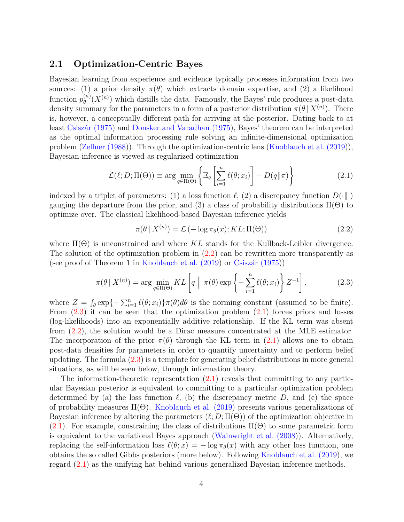#### <span id="page-3-3"></span>**2.1 Optimization-Centric Bayes**

Bayesian learning from experience and evidence typically processes information from two sources: (1) a prior density  $\pi(\theta)$  which extracts domain expertise, and (2) a likelihood function  $p_{\theta}^{(n)}$  $\theta_{\theta}^{(n)}(X^{(n)})$  which distills the data. Famously, the Bayes' rule produces a post-data density summary for the parameters in a form of a posterior distribution  $\pi(\theta | X^{(n)})$ . There is, however, a conceptually different path for arriving at the posterior. Dating back to at least [Csiszár \(1975\)](#page-22-0) and [Donsker and Varadhan \(1975\)](#page-22-1), Bayes' theorem can be interpreted as the optimal information processing rule solving an infinite-dimensional optimization problem [\(Zellner \(1988\)](#page-26-4)). Through the optimization-centric lens [\(Knoblauch et al. \(2019\)](#page-23-3)), Bayesian inference is viewed as regularized optimization

<span id="page-3-2"></span>
$$
\mathcal{L}(\ell; D; \Pi(\Theta)) \equiv \arg \min_{q \in \Pi(\Theta)} \left\{ \mathbb{E}_q \left[ \sum_{i=1}^n \ell(\theta; x_i) \right] + D(q \| \pi) \right\} \tag{2.1}
$$

indexed by a triplet of parameters: (1) a loss function  $\ell$ , (2) a discrepancy function  $D(\cdot|\cdot)$ gauging the departure from the prior, and (3) a class of probability distributions  $\Pi(\Theta)$  to optimize over. The classical likelihood-based Bayesian inference yields

<span id="page-3-0"></span>
$$
\pi(\theta \mid X^{(n)}) = \mathcal{L}(-\log \pi_{\theta}(x); KL; \Pi(\Theta))
$$
\n(2.2)

where  $\Pi(\Theta)$  is unconstrained and where  $KL$  stands for the Kullback-Leibler divergence. The solution of the optimization problem in  $(2.2)$  can be rewritten more transparently as (see proof of Theorem 1 in [Knoblauch et al. \(2019\)](#page-23-3) or [Csiszár \(1975\)](#page-22-0))

<span id="page-3-1"></span>
$$
\pi(\theta \mid X^{(n)}) = \arg \min_{q \in \Pi(\Theta)} KL\left[q \mid \pi(\theta) \exp\left\{-\sum_{i=1}^{n} \ell(\theta; x_i)\right\} Z^{-1}\right],\tag{2.3}
$$

where  $Z = \int_{\theta} \exp\{-\sum_{i=1}^{n} \ell(\theta; x_i)\} \pi(\theta) d\theta$  is the norming constant (assumed to be finite). From  $(2.3)$  it can be seen that the optimization problem  $(2.1)$  forces priors and losses (log-likelihoods) into an exponentially additive relationship. If the KL term was absent from [\(2.2\)](#page-3-0), the solution would be a Dirac measure concentrated at the MLE estimator. The incorporation of the prior  $\pi(\theta)$  through the KL term in [\(2.1\)](#page-3-2) allows one to obtain post-data densities for parameters in order to quantify uncertainty and to perform belief updating. The formula [\(2.3\)](#page-3-1) is a template for generating belief distributions in more general situations, as will be seen below, through information theory.

The information-theoretic representation [\(2.1\)](#page-3-2) reveals that committing to any particular Bayesian posterior is equivalent to committing to a particular optimization problem determined by (a) the loss function  $\ell$ , (b) the discrepancy metric *D*, and (c) the space of probability measures  $\Pi(\Theta)$ . [Knoblauch et al. \(2019\)](#page-23-3) presents various generalizations of Bayesian inference by altering the parameters  $(\ell; D; \Pi(\Theta))$  of the optimization objective in [\(2.1\)](#page-3-2). For example, constraining the class of distributions  $\Pi(\Theta)$  to some parametric form is equivalent to the variational Bayes approach [\(Wainwright et al. \(2008\)](#page-26-5)). Alternatively, replacing the self-information loss  $\ell(\theta; x) = -\log \pi_{\theta}(x)$  with any other loss function, one obtains the so called Gibbs posteriors (more below). Following [Knoblauch et al. \(2019\)](#page-23-3), we regard [\(2.1\)](#page-3-2) as the unifying hat behind various generalized Bayesian inference methods.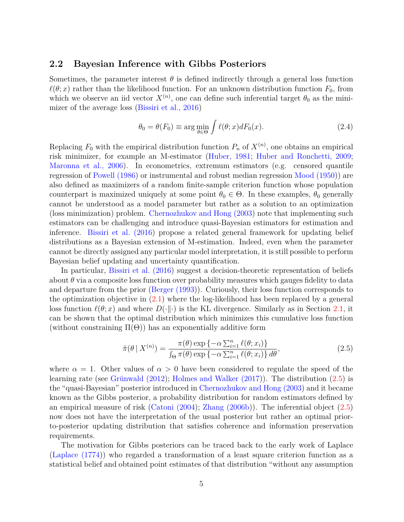#### <span id="page-4-2"></span>**2.2 Bayesian Inference with Gibbs Posteriors**

Sometimes, the parameter interest  $\theta$  is defined indirectly through a general loss function  $\ell(\theta; x)$  rather than the likelihood function. For an unknown distribution function  $F_0$ , from which we observe an iid vector  $X^{(n)}$ , one can define such inferential target  $\theta_0$  as the minimizer of the average loss [\(Bissiri et al., 2016\)](#page-21-0)

<span id="page-4-1"></span>
$$
\theta_0 = \theta(F_0) \equiv \arg\min_{\theta \in \Theta} \int \ell(\theta; x) dF_0(x). \tag{2.4}
$$

Replacing  $F_0$  with the empirical distribution function  $P_n$  of  $X^{(n)}$ , one obtains an empirical risk minimizer, for example an M-estimator [\(Huber, 1981;](#page-23-7) [Huber and Ronchetti, 2009;](#page-23-1) [Maronna et al., 2006\)](#page-24-5). In econometrics, extremum estimators (e.g. censored quantile regression of [Powell \(1986\)](#page-25-0) or instrumental and robust median regression [Mood \(1950\)](#page-24-1)) are also defined as maximizers of a random finite-sample criterion function whose population counterpart is maximized uniquely at some point  $\theta_0 \in \Theta$ . In these examples,  $\theta_0$  generally cannot be understood as a model parameter but rather as a solution to an optimization (loss minimization) problem. [Chernozhukov and Hong \(2003\)](#page-22-2) note that implementing such estimators can be challenging and introduce quasi-Bayesian estimators for estimation and inference. [Bissiri et al. \(2016\)](#page-21-0) propose a related general framework for updating belief distributions as a Bayesian extension of M-estimation. Indeed, even when the parameter cannot be directly assigned any particular model interpretation, it is still possible to perform Bayesian belief updating and uncertainty quantification.

In particular, [Bissiri et al. \(2016\)](#page-21-0) suggest a decision-theoretic representation of beliefs about  $\theta$  via a composite loss function over probability measures which gauges fidelity to data and departure from the prior [\(Berger \(1993\)](#page-21-4)). Curiously, their loss function corresponds to the optimization objective in [\(2.1\)](#page-3-2) where the log-likelihood has been replaced by a general loss function  $\ell(\theta; x)$  and where  $D(\cdot|\cdot)$  is the KL divergence. Similarly as in Section [2.1,](#page-3-3) it can be shown that the optimal distribution which minimizes this cumulative loss function (without constraining  $\Pi(\Theta)$ ) has an exponentially additive form

<span id="page-4-0"></span>
$$
\tilde{\pi}(\theta \mid X^{(n)}) = \frac{\pi(\theta) \exp\left\{-\alpha \sum_{i=1}^{n} \ell(\theta; x_i)\right\}}{\int_{\Theta} \pi(\theta) \exp\left\{-\alpha \sum_{i=1}^{n} \ell(\theta; x_i)\right\} d\theta},\tag{2.5}
$$

where  $\alpha = 1$ . Other values of  $\alpha > 0$  have been considered to regulate the speed of the learning rate (see [Grünwald \(2012\)](#page-22-3); [Holmes and Walker \(2017\)](#page-23-8)). The distribution [\(2.5\)](#page-4-0) is the "quasi-Bayesian" posterior introduced in [Chernozhukov and Hong \(2003\)](#page-22-2) and it became known as the Gibbs posterior, a probability distribution for random estimators defined by an empirical measure of risk [\(Catoni \(2004\)](#page-21-2); [Zhang \(2006b\)](#page-26-3)). The inferential object [\(2.5\)](#page-4-0) now does not have the interpretation of the usual posterior but rather an optimal priorto-posterior updating distribution that satisfies coherence and information preservation requirements.

The motivation for Gibbs posteriors can be traced back to the early work of Laplace [\(Laplace \(1774\)](#page-24-6)) who regarded a transformation of a least square criterion function as a statistical belief and obtained point estimates of that distribution "without any assumption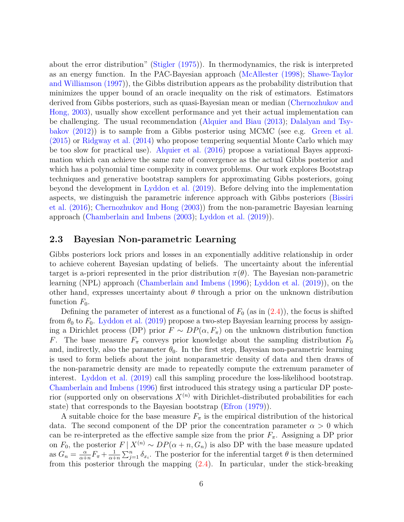about the error distribution" [\(Stigler \(1975\)](#page-26-7)). In thermodynamics, the risk is interpreted as an energy function. In the PAC-Bayesian approach [\(McAllester \(1998\)](#page-24-7); [Shawe-Taylor](#page-25-3) [and Williamson \(1997\)](#page-25-3)), the Gibbs distribution appears as the probability distribution that minimizes the upper bound of an oracle inequality on the risk of estimators. Estimators derived from Gibbs posteriors, such as quasi-Bayesian mean or median [\(Chernozhukov and](#page-22-2) [Hong, 2003\)](#page-22-2), usually show excellent performance and yet their actual implementation can be challenging. The usual recommendation [\(Alquier and Biau \(2013\)](#page-21-5); [Dalalyan and Tsy](#page-22-4)[bakov \(2012\)](#page-22-4)) is to sample from a Gibbs posterior using MCMC (see e.g. [Green et al.](#page-22-5) [\(2015\)](#page-22-5) or [Ridgway et al. \(2014\)](#page-25-4) who propose tempering sequential Monte Carlo which may be too slow for practical use). [Alquier et al. \(2016\)](#page-21-3) propose a variational Bayes approximation which can achieve the same rate of convergence as the actual Gibbs posterior and which has a polynomial time complexity in convex problems. Our work explores Bootstrap techniques and generative bootstrap samplers for approximating Gibbs posteriors, going beyond the development in [Lyddon et al. \(2019\)](#page-24-2). Before delving into the implementation aspects, we distinguish the parametric inference approach with Gibbs posteriors [\(Bissiri](#page-21-0) [et al. \(2016\)](#page-21-0); [Chernozhukov and Hong \(2003\)](#page-22-2)) from the non-parametric Bayesian learning approach [\(Chamberlain and Imbens \(2003\)](#page-21-1); [Lyddon et al. \(2019\)](#page-24-2)).

#### <span id="page-5-0"></span>**2.3 Bayesian Non-parametric Learning**

Gibbs posteriors lock priors and losses in an exponentially additive relationship in order to achieve coherent Bayesian updating of beliefs. The uncertainty about the inferential target is a-priori represented in the prior distribution  $\pi(\theta)$ . The Bayesian non-parametric learning (NPL) approach [\(Chamberlain and Imbens \(1996\)](#page-21-6); [Lyddon et al. \(2019\)](#page-24-2)), on the other hand, expresses uncertainty about  $\theta$  through a prior on the unknown distribution function  $F_0$ .

Defining the parameter of interest as a functional of  $F_0$  (as in  $(2.4)$ ), the focus is shifted from  $\theta_0$  to  $F_0$ . [Lyddon et al. \(2019\)](#page-24-2) propose a two-step Bayesian learning process by assigning a Dirichlet process (DP) prior  $F \sim DP(\alpha, F_\pi)$  on the unknown distribution function *F*. The base measure  $F_{\pi}$  conveys prior knowledge about the sampling distribution  $F_0$ and, indirectly, also the parameter  $\theta_0$ . In the first step, Bayesian non-parametric learning is used to form beliefs about the joint nonparametric density of data and then draws of the non-parametric density are made to repeatedly compute the extremum parameter of interest. [Lyddon et al. \(2019\)](#page-24-2) call this sampling procedure the loss-likelihood bootstrap. [Chamberlain and Imbens \(1996\)](#page-21-6) first introduced this strategy using a particular DP posterior (supported only on observations  $X^{(n)}$  with Dirichlet-distributed probabilities for each state) that corresponds to the Bayesian bootstrap [\(Efron \(1979\)](#page-22-6)).

A suitable choice for the base measure  $F_{\pi}$  is the empirical distribution of the historical data. The second component of the DP prior the concentration parameter  $\alpha > 0$  which can be re-interpreted as the effective sample size from the prior  $F_{\pi}$ . Assigning a DP prior on *F*<sub>0</sub>, the posterior  $F \mid X^{(n)} \sim DP(\alpha + n, G_n)$  is also DP with the base measure updated as  $G_n = \frac{\alpha}{\alpha^+}$  $\frac{\alpha}{\alpha+n}F_{\pi} + \frac{1}{\alpha+\alpha}$  $\frac{1}{\alpha+n} \sum_{j=1}^n \delta_{x_i}$ . The posterior for the inferential target  $\theta$  is then determined from this posterior through the mapping  $(2.4)$ . In particular, under the stick-breaking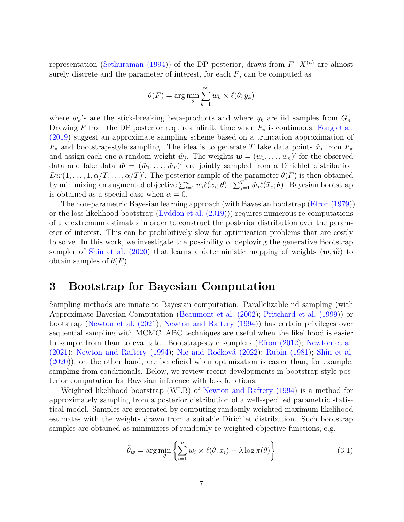representation [\(Sethuraman \(1994\)](#page-25-5)) of the DP posterior, draws from  $F | X^{(n)}$  are almost surely discrete and the parameter of interest, for each *F*, can be computed as

$$
\theta(F) = \arg\min_{\theta} \sum_{k=1}^{\infty} w_k \times \ell(\theta; y_k)
$$

where  $w_k$ 's are the stick-breaking beta-products and where  $y_k$  are iid samples from  $G_n$ . Drawing *F* from the DP posterior requires infinite time when  $F_{\pi}$  is continuous. [Fong et al.](#page-22-7) [\(2019\)](#page-22-7) suggest an approximate sampling scheme based on a truncation approximation of  $F_{\pi}$  and bootstrap-style sampling. The idea is to generate *T* fake data points  $\tilde{x}_j$  from  $F_{\pi}$ and assign each one a random weight  $\tilde{w}_j$ . The weights  $\mathbf{w} = (w_1, \ldots, w_n)'$  for the observed data and fake data  $\tilde{\mathbf{w}} = (\tilde{w}_1, \dots, \tilde{w}_T)'$  are jointly sampled from a Dirichlet distribution  $Dir(1, \ldots, 1, \alpha/T, \ldots, \alpha/T)'$ . The posterior sample of the parameter  $\theta(F)$  is then obtained by minimizing an augmented objective  $\sum_{i=1}^{n} w_i \ell(x_i; \theta) + \sum_{j=1}^{T} \tilde{w}_j \ell(\tilde{x}_j; \theta)$ . Bayesian bootstrap is obtained as a special case when  $\alpha = 0$ .

The non-parametric Bayesian learning approach (with Bayesian bootstrap [\(Efron \(1979\)](#page-22-6)) or the loss-likelihood bootstrap [\(Lyddon et al. \(2019\)](#page-24-2))) requires numerous re-computations of the extremum estimates in order to construct the posterior distribution over the parameter of interest. This can be prohibitively slow for optimization problems that are costly to solve. In this work, we investigate the possibility of deploying the generative Bootstrap sampler of [Shin et al. \(2020\)](#page-26-6) that learns a deterministic mapping of weights  $(w, \tilde{w})$  to obtain samples of  $\theta(F)$ .

## **3 Bootstrap for Bayesian Computation**

Sampling methods are innate to Bayesian computation. Parallelizable iid sampling (with Approximate Bayesian Computation [\(Beaumont et al. \(2002\)](#page-21-7); [Pritchard et al. \(1999\)](#page-25-6)) or bootstrap [\(Newton et al. \(2021\)](#page-24-8); [Newton and Raftery \(1994\)](#page-24-9)) has certain privileges over sequential sampling with MCMC. ABC techniques are useful when the likelihood is easier to sample from than to evaluate. Bootstrap-style samplers [\(Efron \(2012\)](#page-22-8); [Newton et al.](#page-24-8) [\(2021\)](#page-24-8); [Newton and Raftery \(1994\)](#page-24-9); [Nie and Ročková \(2022\)](#page-24-10); [Rubin \(1981\)](#page-25-7); [Shin et al.](#page-26-6) [\(2020\)](#page-26-6)), on the other hand, are beneficial when optimization is easier than, for example, sampling from conditionals. Below, we review recent developments in bootstrap-style posterior computation for Bayesian inference with loss functions.

Weighted likelihood bootstrap (WLB) of [Newton and Raftery \(1994\)](#page-24-9) is a method for approximately sampling from a posterior distribution of a well-specified parametric statistical model. Samples are generated by computing randomly-weighted maximum likelihood estimates with the weights drawn from a suitable Dirichlet distribution. Such bootstrap samples are obtained as minimizers of randomly re-weighted objective functions, e.g.

<span id="page-6-0"></span>
$$
\hat{\theta}_{\mathbf{w}} = \arg\min_{\theta} \left\{ \sum_{i=1}^{n} w_i \times \ell(\theta; x_i) - \lambda \log \pi(\theta) \right\}
$$
(3.1)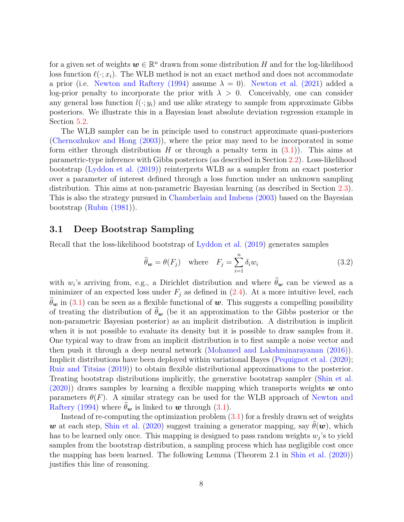for a given set of weights  $w \in \mathbb{R}^n$  drawn from some distribution *H* and for the log-likelihood loss function  $\ell(\cdot; x_i)$ . The WLB method is not an exact method and does not accommodate a prior (i.e. [Newton and Raftery \(1994\)](#page-24-9) assume  $\lambda = 0$ ). [Newton et al. \(2021\)](#page-24-8) added a log-prior penalty to incorporate the prior with  $\lambda > 0$ . Conceivably, one can consider any general loss function  $l(\cdot; y_i)$  and use alike strategy to sample from approximate Gibbs posteriors. We illustrate this in a Bayesian least absolute deviation regression example in Section [5.2.](#page-17-0)

The WLB sampler can be in principle used to construct approximate quasi-posteriors [\(Chernozhukov and Hong \(2003\)](#page-22-2)), where the prior may need to be incorporated in some form either through distribution *H* or through a penalty term in  $(3.1)$ ). This aims at parametric-type inference with Gibbs posteriors (as described in Section [2.2\)](#page-4-2). Loss-likelihood bootstrap [\(Lyddon et al. \(2019\)](#page-24-2)) reinterprets WLB as a sampler from an exact posterior over a parameter of interest defined through a loss function under an unknown sampling distribution. This aims at non-parametric Bayesian learning (as described in Section [2.3\)](#page-5-0). This is also the strategy pursued in [Chamberlain and Imbens \(2003\)](#page-21-1) based on the Bayesian bootstrap [\(Rubin \(1981\)](#page-25-7)).

#### <span id="page-7-1"></span>**3.1 Deep Bootstrap Sampling**

Recall that the loss-likelihood bootstrap of [Lyddon et al. \(2019\)](#page-24-2) generates samples

$$
\widehat{\theta}_{\mathbf{w}} = \theta(F_j) \quad \text{where} \quad F_j = \sum_{i=1}^n \delta_i w_i \tag{3.2}
$$

with  $w_i$ 's arriving from, e.g., a Dirichlet distribution and where  $\theta_w$  can be viewed as a minimizer of an expected loss under  $F_j$  as defined in  $(2.4)$ . At a more intuitive level, each  $\theta_{w}$  in [\(3.1\)](#page-6-0) can be seen as a flexible functional of w. This suggests a compelling possibility of treating the distribution of  $\hat{\theta}_{w}$  (be it an approximation to the Gibbs posterior or the non-parametric Bayesian posterior) as an implicit distribution. A distribution is implicit when it is not possible to evaluate its density but it is possible to draw samples from it. One typical way to draw from an implicit distribution is to first sample a noise vector and then push it through a deep neural network [\(Mohamed and Lakshminarayanan \(2016\)](#page-24-4)). Implicit distributions have been deployed within variational Bayes [\(Pequignot et al. \(2020\)](#page-24-11); [Ruiz and Titsias \(2019\)](#page-25-2)) to obtain flexible distributional approximations to the posterior. Treating bootstrap distributions implicitly, the generative bootstrap sampler [\(Shin et al.](#page-26-6)  $(2020)$  draws samples by learning a flexible mapping which transports weights w onto parameters  $\theta(F)$ . A similar strategy can be used for the WLB approach of [Newton and](#page-24-9) [Raftery \(1994\)](#page-24-9) where  $\theta_{w}$  is linked to w through [\(3.1\)](#page-6-0).

<span id="page-7-0"></span>Instead of re-computing the optimization problem  $(3.1)$  for a freshly drawn set of weights w at each step, [Shin et al. \(2020\)](#page-26-6) suggest training a generator mapping, say  $\theta(\mathbf{w})$ , which has to be learned only once. This mapping is designed to pass random weights *w<sup>j</sup>* 's to yield samples from the bootstrap distribution, a sampling process which has negligible cost once the mapping has been learned. The following Lemma (Theorem 2.1 in [Shin et al. \(2020\)](#page-26-6)) justifies this line of reasoning.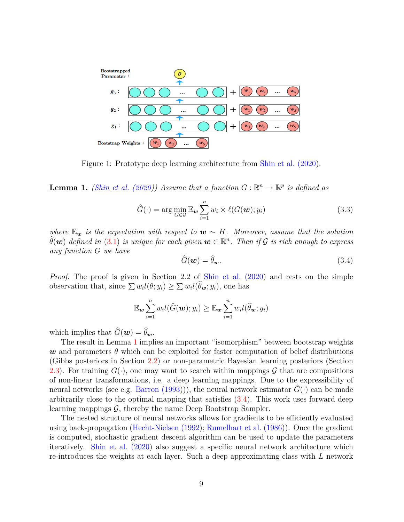<span id="page-8-1"></span>

Figure 1: Prototype deep learning architecture from [Shin et al. \(2020\)](#page-26-6).

**Lemma 1.** *[\(Shin et al. \(2020\)](#page-26-6)) Assume that a function*  $G : \mathbb{R}^n \to \mathbb{R}^p$  *is defined as* 

$$
\hat{G}(\cdot) = \arg\min_{G \in \mathcal{G}} \mathbb{E}_{\mathbf{w}} \sum_{i=1}^{n} w_i \times \ell(G(\mathbf{w}); y_i)
$$
\n(3.3)

*where*  $\mathbb{E}_{\bf w}$  *is the expectation with respect to*  $\bf w \sim H$ *. Moreover, assume that the solution*  $\widehat{\theta}(\boldsymbol{w})$  defined in [\(3.1\)](#page-6-0) is unique for each given  $\boldsymbol{w}\in\mathbb{R}^n$ . Then if  $\mathcal G$  is rich enough to express *any function G we have*

<span id="page-8-0"></span>
$$
\widehat{G}(\boldsymbol{w}) = \widehat{\theta}_{\boldsymbol{w}}.\tag{3.4}
$$

*Proof.* The proof is given in Section 2.2 of [Shin et al. \(2020\)](#page-26-6) and rests on the simple observation that, since  $\sum w_i l(\theta; y_i) \geq \sum w_i l(\theta_{\mathbf{w}}; y_i)$ , one has

$$
\mathbb{E}_{\boldsymbol{w}}\sum_{i=1}^n w_i l(\widehat{G}(\boldsymbol{w});y_i) \geq \mathbb{E}_{\boldsymbol{w}}\sum_{i=1}^n w_i l(\widehat{\theta}_{\boldsymbol{w}};y_i)
$$

which implies that  $\widehat{G}(\boldsymbol{w}) = \widehat{\theta}_{\boldsymbol{w}}$ .

The result in Lemma [1](#page-7-0) implies an important "isomorphism" between bootstrap weights w and parameters  $\theta$  which can be exploited for faster computation of belief distributions (Gibbs posteriors in Section [2.2\)](#page-4-2) or non-parametric Bayesian learning posteriors (Section [2.3\)](#page-5-0). For training  $G(\cdot)$ , one may want to search within mappings  $\mathcal G$  that are compositions of non-linear transformations, i.e. a deep learning mappings. Due to the expressibility of neural networks (see e.g. [Barron \(1993\)](#page-21-8))), the neural network estimator  $\tilde{G}(\cdot)$  can be made arbitrarily close to the optimal mapping that satisfies [\(3.4\)](#page-8-0). This work uses forward deep learning mappings  $\mathcal{G}$ , thereby the name Deep Bootstrap Sampler.

The nested structure of neural networks allows for gradients to be efficiently evaluated using back-propagation [\(Hecht-Nielsen \(1992\)](#page-23-9); [Rumelhart et al. \(1986\)](#page-25-8)). Once the gradient is computed, stochastic gradient descent algorithm can be used to update the parameters iteratively. [Shin et al. \(2020\)](#page-26-6) also suggest a specific neural network architecture which re-introduces the weights at each layer. Such a deep approximating class with *L* network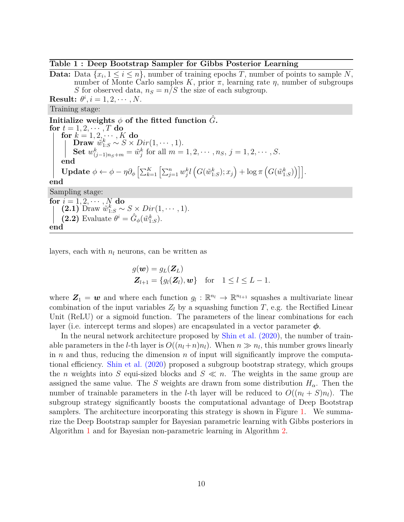#### <span id="page-9-0"></span>**Table 1 : Deep Bootstrap Sampler for Gibbs Posterior Learning**

**Data:** Data  $\{x_i, 1 \leq i \leq n\}$ , number of training epochs *T*, number of points to sample *N*, number of Monte Carlo samples  $K$ , prior  $\pi$ , learning rate  $\eta$ , number of subgroups *S* for observed data,  $n_S = n/S$  the size of each subgroup.

**Result:**  $\theta^i$ ,  $i = 1, 2, \dots, N$ .

Training stage:

**Initialize weights**  $\phi$  of the fitted function  $\tilde{G}$ **.**  $f$ **or**  $t = 1, 2, \cdots, T$  **do**  $f$ or  $k = 1, 2, \dots, K$  do  $\textbf{Draw} \big| \tilde{w}_{1:S}^k \sim S \times Dir(1,\cdots,1).$ Set  $w_{(j-1)n_S+m}^k = \tilde{w}_j^k$  for all  $m = 1, 2, \cdots, n_S, j = 1, 2, \cdots, S$ . **end**  $\textbf{Update}\,\, \phi \leftarrow \phi - \eta \partial_{\phi} \left[ \sum_{k=1}^K \left[ \sum_{j=1}^n w_j^k l\left(G(\tilde{w}_{1:S}^k); x_j\right) + \log \pi\left(G(\tilde{w}_{1:S}^k)\right)\right]\right].$ **end** Sampling stage: **for**  $i = 1, 2, \cdots, N$  **do**  $(2.1)$  Draw  $\tilde{w}_{1:S}^k \sim S \times Dir(1, \dots, 1).$ **(2.2)** Evaluate  $\theta^i = \hat{G}_{\phi}(\tilde{w}_{1:S}^k)$ . **end**

layers, each with  $n_l$  neurons, can be written as

$$
g(\boldsymbol{w}) = g_L(\boldsymbol{Z}_L)
$$
  

$$
\boldsymbol{Z}_{l+1} = \{g_l(\boldsymbol{Z}_l), \boldsymbol{w}\} \text{ for } 1 \leq l \leq L-1.
$$

where  $Z_1 = w$  and where each function  $g_l : \mathbb{R}^{n_l} \to \mathbb{R}^{n_{l+1}}$  squashes a multivariate linear combination of the input variables  $Z_l$  by a squashing function  $T$ , e.g. the Rectified Linear Unit (ReLU) or a sigmoid function. The parameters of the linear combinations for each layer (i.e. intercept terms and slopes) are encapsulated in a vector parameter  $\phi$ .

In the neural network architecture proposed by [Shin et al. \(2020\)](#page-26-6), the number of trainable parameters in the *l*-th layer is  $O((n_l+n)n_l)$ . When  $n \gg n_l$ , this number grows linearly in *n* and thus, reducing the dimension *n* of input will significantly improve the computational efficiency. [Shin et al. \(2020\)](#page-26-6) proposed a subgroup bootstrap strategy, which groups the *n* weights into *S* equi-sized blocks and  $S \ll n$ . The weights in the same group are assigned the same value. The *S* weights are drawn from some distribution *Hα*. Then the number of trainable parameters in the *l*-th layer will be reduced to  $O((n_l + S)n_l)$ . The subgroup strategy significantly boosts the computational advantage of Deep Bootstrap samplers. The architecture incorporating this strategy is shown in Figure [1.](#page-8-1) We summarize the Deep Bootstrap sampler for Bayesian parametric learning with Gibbs posteriors in Algorithm [1](#page-9-0) and for Bayesian non-parametric learning in Algorithm [2.](#page-10-0)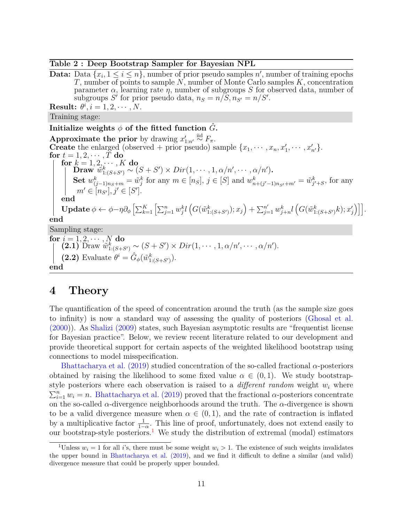<span id="page-10-0"></span>**Table 2 : Deep Bootstrap Sampler for Bayesian NPL**

**Data:** Data  $\{x_i, 1 \leq i \leq n\}$ , number of prior pseudo samples *n*', number of training epochs *T*, number of points to sample *N*, number of Monte Carlo samples *K*, concentration parameter  $\alpha$ , learning rate  $\eta$ , number of subgroups *S* for observed data, number of subgroups  $S'$  for prior pseudo data,  $n_S = n/\overline{S}, n_{S'} = n/S'.$ **Result:**  $\theta^i$ ,  $i = 1, 2, \dots, N$ . Training stage: **Initialize weights**  $\phi$  of the fitted function  $\hat{G}$ **. Approximate the prior** by drawing  $x'_{1:n'} \stackrel{\text{iid}}{\sim} F_{\pi}$ . **Create** the enlarged (observed + prior pseudo) sample  $\{x_1, \dots, x_n, x'_1, \dots, x'_{n'}\}.$ for  $t = 1, 2, \cdots, T$  do **for**  $k = 1, 2, \cdots, K$  **do**  $\hat{\mathbf{Draw}}'\ \hat{w}_{1:(S+S')}^{k}\sim (S+S')\times Dir(1,\cdots,1,\alpha/n',\cdots,\alpha/n').$ **Set**  $w_{(j-1)n_S+m}^k = \tilde{w}_j^k$  for any  $m \in [n_S], j \in [S]$  and  $w_{n+(j'-1)n_{S'}+m'}^k = \tilde{w}_{j'+S}^k$ , for any  $m' \in [n_{S'}], j' \in [S'].$ **end**  $\textbf{Update} \ \phi \leftarrow \phi - \eta \partial_{\phi} \left[ \sum_{k=1}^K \left[ \sum_{j=1}^n w_j^k l\left(G(\tilde{w}_{1:(S+S')}^{k});x_j\right) + \sum_{j=1}^{n'} w_{j+n}^k l\left(G(\tilde{w}_{1:(S+S')}^{k};x_j')\right)\right]\right].$ **end** Sampling stage: **for**  $i = 1, 2, \cdots, N$  **do**  $(2.1)$  Draw  $\tilde{w}_{1:(S+S')}^{k} \sim (S+S') \times Dir(1, \dots, 1, \alpha/n', \dots, \alpha/n').$ **(2.2)** Evaluate  $\theta^i = \hat{G}_{\phi}(\tilde{w}_{1:(S+S')}^k)$ . **end**

## **4 Theory**

The quantification of the speed of concentration around the truth (as the sample size goes to infinity) is now a standard way of assessing the quality of posteriors [\(Ghosal et al.](#page-22-9) [\(2000\)](#page-22-9)). As [Shalizi \(2009\)](#page-25-9) states, such Bayesian asymptotic results are "frequentist license for Bayesian practice". Below, we review recent literature related to our development and provide theoretical support for certain aspects of the weighted likelihood bootstrap using connections to model misspecification.

[Bhattacharya et al. \(2019\)](#page-21-9) studied concentration of the so-called fractional *α*-posteriors obtained by raising the likelihood to some fixed value  $\alpha \in (0,1)$ . We study bootstrapstyle posteriors where each observation is raised to a *different random* weight *w<sup>i</sup>* where  $\sum_{i=1}^{n} w_i = n$ . [Bhattacharya et al. \(2019\)](#page-21-9) proved that the fractional *α*-posteriors concentrate on the so-called  $\alpha$ -divergence neighborhoods around the truth. The  $\alpha$ -divergence is shown to be a valid divergence measure when  $\alpha \in (0,1)$ , and the rate of contraction is inflated by a multiplicative factor  $\frac{1}{1-\alpha}$ . This line of proof, unfortunately, does not extend easily to our bootstrap-style posteriors.<sup>[1](#page-10-1)</sup> We study the distribution of extremal (modal) estimators

<span id="page-10-1"></span><sup>&</sup>lt;sup>1</sup>Unless  $w_i = 1$  for all *i*'s, there must be some weight  $w_i > 1$ . The existence of such weights invalidates the upper bound in [Bhattacharya et al. \(2019\)](#page-21-9), and we find it difficult to define a similar (and valid) divergence measure that could be properly upper bounded.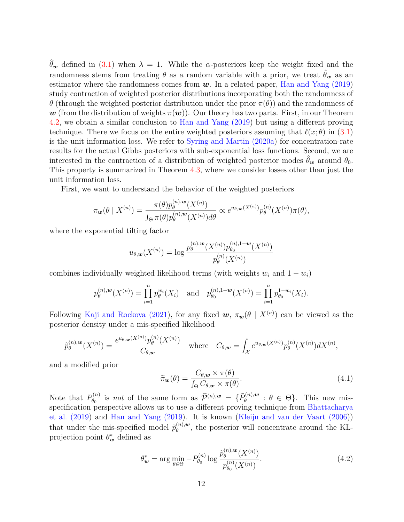$\hat{\theta}_{w}$  defined in [\(3.1\)](#page-6-0) when  $\lambda = 1$ . While the *α*-posteriors keep the weight fixed and the randomness stems from treating  $\theta$  as a random variable with a prior, we treat  $\hat{\theta}_{w}$  as an estimator where the randomness comes from  $w$ . In a related paper, [Han and Yang \(2019\)](#page-23-10) study contraction of weighted posterior distributions incorporating both the randomness of *θ* (through the weighted posterior distribution under the prior  $\pi(\theta)$ ) and the randomness of w (from the distribution of weights  $\pi(w)$ ). Our theory has two parts. First, in our Theorem [4.2,](#page-12-0) we obtain a similar conclusion to [Han and Yang \(2019\)](#page-23-10) but using a different proving technique. There we focus on the entire weighted posteriors assuming that  $\ell(x; \theta)$  in [\(3.1\)](#page-6-0) is the unit information loss. We refer to [Syring and Martin \(2020a\)](#page-26-8) for concentration-rate results for the actual Gibbs posteriors with sub-exponential loss functions. Second, we are interested in the contraction of a distribution of weighted posterior modes  $\hat{\theta}_{w}$  around  $\theta_{0}$ . This property is summarized in Theorem [4.3,](#page-13-0) where we consider losses other than just the unit information loss.

First, we want to understand the behavior of the weighted posteriors

$$
\pi_{\mathbf{w}}(\theta \mid X^{(n)}) = \frac{\pi(\theta) p_{\theta}^{(n),\mathbf{w}}(X^{(n)})}{\int_{\Theta} \pi(\theta) p_{\theta}^{(n),\mathbf{w}}(X^{(n)}) d\theta} \propto e^{u_{\theta,\mathbf{w}}(X^{(n)})} p_{\theta}^{(n)}(X^{(n)}) \pi(\theta),
$$

where the exponential tilting factor

$$
u_{\theta,\mathbf{w}}(X^{(n)}) = \log \frac{p_{\theta}^{(n),\mathbf{w}}(X^{(n)}) p_{\theta_0}^{(n),1-\mathbf{w}}(X^{(n)})}{p_{\theta}^{(n)}(X^{(n)})}
$$

combines individually weighted likelihood terms (with weights  $w_i$  and  $1 - w_i$ )

$$
p_{\theta}^{(n),\mathbf{w}}(X^{(n)}) = \prod_{i=1}^{n} p_{\theta}^{w_i}(X_i) \quad \text{and} \quad p_{\theta_0}^{(n),1-\mathbf{w}}(X^{(n)}) = \prod_{i=1}^{n} p_{\theta_0}^{1-w_i}(X_i).
$$

Following [Kaji and Rockova \(2021\)](#page-23-11), for any fixed  $w$ ,  $\pi_w(\theta \mid X^{(n)})$  can be viewed as the posterior density under a mis-specified likelihood

$$
\widetilde{p}_{\theta}^{(n),\mathbf{w}}(X^{(n)}) = \frac{e^{u_{\theta,\mathbf{w}}(X^{(n)})}p_{\theta}^{(n)}(X^{(n)})}{C_{\theta,\mathbf{w}}}\quad\text{where}\quad C_{\theta,\mathbf{w}} = \int_{\mathcal{X}}e^{u_{\theta,\mathbf{w}}(X^{(n)})}p_{\theta}^{(n)}(X^{(n)})dX^{(n)},
$$

and a modified prior

$$
\widetilde{\pi}_{\mathbf{w}}(\theta) = \frac{C_{\theta,\mathbf{w}} \times \pi(\theta)}{\int_{\Theta} C_{\theta,\mathbf{w}} \times \pi(\theta)}.
$$
\n(4.1)

Note that  $P_{\theta_0}^{(n)}$  $\widetilde{p}_{\theta_0}^{(n)}$  is *not* of the same form as  $\widetilde{\mathcal{P}}^{(n),w} = \{\widetilde{P}_{\theta}^{(n),w}\}$  $\theta_{\theta}^{(n),\mathbf{w}}$  :  $\theta \in \Theta$ . This new misspecification perspective allows us to use a different proving technique from [Bhattacharya](#page-21-9) [et al. \(2019\)](#page-21-9) and [Han and Yang \(2019\)](#page-23-10). It is known [\(Kleijn and van der Vaart \(2006\)](#page-23-6)) that under the mis-specified model  $\tilde{p}_{\theta}^{(n),w}$  $\theta_{\theta}^{(n),\omega}$ , the posterior will concentrate around the KLprojection point  $\theta_w^*$  defined as

<span id="page-11-0"></span>
$$
\theta_{\mathbf{w}}^* = \arg \min_{\theta \in \Theta} -P_{\theta_0}^{(n)} \log \frac{\tilde{p}_{\theta}^{(n), \mathbf{w}}(X^{(n)})}{p_{\theta_0}^{(n)}(X^{(n)})}.
$$
(4.2)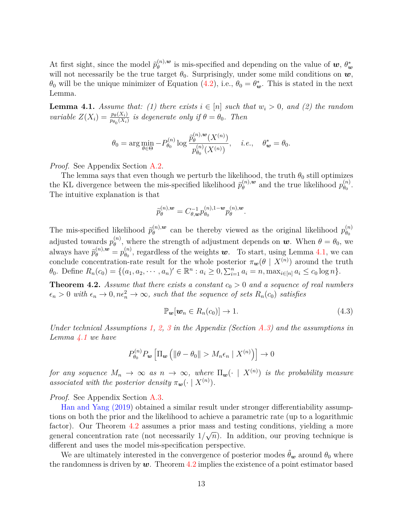At first sight, since the model  $\tilde{p}_{\theta}^{(n),\mathbf{w}}$  $\theta_{\theta}^{(n),\boldsymbol{w}}$  is mis-specified and depending on the value of  $\boldsymbol{w}, \theta_{\boldsymbol{w}}^*$ will not necessarily be the true target  $\theta_0$ . Surprisingly, under some mild conditions on  $w$ ,  $\theta_0$  will be the unique minimizer of Equation [\(4.2\)](#page-11-0), i.e.,  $\theta_0 = \theta_{\mathbf{w}}^*$ . This is stated in the next Lemma.

<span id="page-12-1"></span>**Lemma 4.1.** *Assume that: (1) there exists*  $i \in [n]$  *such that*  $w_i > 0$ *, and (2) the random variable*  $Z(X_i) = \frac{p_{\theta}(X_i)}{p_{\theta_0}(X_i)}$  *is degenerate only if*  $\theta = \theta_0$ *. Then* 

$$
\theta_0 = \arg \min_{\theta \in \Theta} -P_{\theta_0}^{(n)} \log \frac{\tilde{p}_{\theta}^{(n),\mathbf{w}}(X^{(n)})}{p_{\theta_0}^{(n)}(X^{(n)})}, \quad i.e., \quad \theta_{\mathbf{w}}^* = \theta_0.
$$

*Proof.* See Appendix Section [A.2.](#page-27-0)

The lemma says that even though we perturb the likelihood, the truth  $\theta_0$  still optimizes the KL divergence between the mis-specified likelihood  $\tilde{p}_{\theta}^{(n),w}$  $\theta_{\theta}^{(n),w}$  and the true likelihood  $p_{\theta_0}^{(n)}$  $\overset{(n)}{\theta_0}$ . The intuitive explanation is that

$$
\tilde{p}_{\theta}^{(n),\boldsymbol{w}}=C_{\theta,\boldsymbol{w}}^{-1}p_{\theta_{0}}^{(n),1-\boldsymbol{w}}p_{\theta}^{(n),\boldsymbol{w}}.
$$

The mis-specified likelihood  $\tilde{p}_{\theta}^{(n),\mathbf{w}}$  $\theta_{\theta}^{(n),w}$  can be thereby viewed as the original likelihood  $p_{\theta_0}^{(n)}$ *θ*0 adjusted towards  $p_{\theta}^{(n)}$ <sup>(*n*</sup>)</sup>, where the strength of adjustment depends on  $w$ . When  $\theta = \theta_0$ , we always have  $\widetilde{p}_{\theta}^{(n),\mathbf{w}} = p_{\theta_0}^{(n)}$  $\theta_{\theta_0}^{(n)}$ , regardless of the weights **w**. To start, using Lemma [4.1,](#page-12-1) we can conclude concentration-rate result for the whole posterior  $\pi_w(\theta \mid X^{(n)})$  around the truth  $\theta_0$ . Define  $R_n(c_0) = \{(a_1, a_2, \cdots, a_n) \in \mathbb{R}^n : a_i \geq 0, \sum_{i=1}^n a_i = n, \max_{i \in [n]} a_i \leq c_0 \log n\}.$ 

<span id="page-12-0"></span>**Theorem 4.2.** *Assume that there exists a constant*  $c_0 > 0$  *and a sequence of real numbers*  $\epsilon_n > 0$  with  $\epsilon_n \to 0, n\epsilon_n^2 \to \infty$ , such that the sequence of sets  $R_n(c_0)$  satisfies

<span id="page-12-2"></span>
$$
\mathbb{P}_{\mathbf{w}}[\mathbf{w}_n \in R_n(c_0)] \to 1. \tag{4.3}
$$

*Under technical Assumptions [1,](#page-28-0) [2,](#page-28-1) [3](#page-28-2) in the Appendix (Section [A.3\)](#page-28-3) and the assumptions in Lemma [4.1](#page-12-1) we have*

$$
P_{\theta_0}^{(n)} P_{\boldsymbol{w}} \left[ \Pi_{\boldsymbol{w}} \left( \|\theta - \theta_0\| > M_n \epsilon_n \mid X^{(n)} \right) \right] \to 0
$$

*for any sequence*  $M_n \to \infty$  *as*  $n \to \infty$ *, where*  $\Pi_{\bm{w}}(\cdot \mid X^{(n)})$  *is the probability measure associated with the posterior density*  $\pi_w(\cdot \mid X^{(n)})$ .

*Proof.* See Appendix Section [A.3.](#page-28-3)

[Han and Yang \(2019\)](#page-23-10) obtained a similar result under stronger differentiability assumptions on both the prior and the likelihood to achieve a parametric rate (up to a logarithmic factor). Our Theorem [4.2](#page-12-0) assumes a prior mass and testing conditions, yielding a more general concentration rate (not necessarily  $1/\sqrt{n}$ ). In addition, our proving technique is different and uses the model mis-specification perspective.

We are ultimately interested in the convergence of posterior modes  $\hat{\theta}_{w}$  around  $\theta_{0}$  where the randomness is driven by  $w$ . Theorem [4.2](#page-12-0) implies the existence of a point estimator based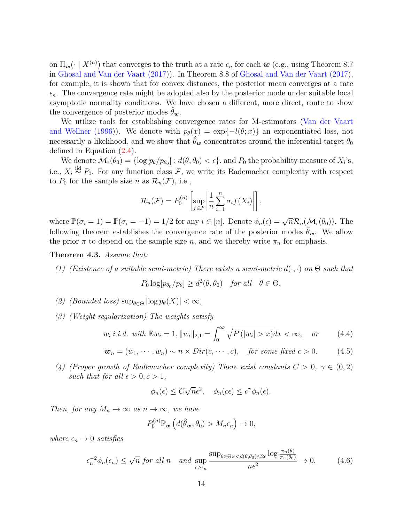on  $\Pi_{\bm{w}}(\cdot \mid X^{(n)})$  that converges to the truth at a rate  $\epsilon_n$  for each  $\bm{w}$  (e.g., using Theorem 8.7) in [Ghosal and Van der Vaart \(2017\)](#page-22-10)). In Theorem 8.8 of [Ghosal and Van der Vaart \(2017\)](#page-22-10), for example, it is shown that for convex distances, the posterior mean converges at a rate  $\epsilon_n$ . The convergence rate might be adopted also by the posterior mode under suitable local asymptotic normality conditions. We have chosen a different, more direct, route to show the convergence of posterior modes  $\theta_w$ .

We utilize tools for establishing convergence rates for M-estimators [\(Van der Vaart](#page-26-9) [and Wellner \(1996\)](#page-26-9)). We denote with  $p_{\theta}(x) = \exp\{-l(\theta; x)\}\$ an exponentiated loss, not necessarily a likelihood, and we show that  $\hat{\theta}_{w}$  concentrates around the inferential target  $\theta_{0}$ defined in Equation [\(2.4\)](#page-4-1).

We denote  $\mathcal{M}_{\epsilon}(\theta_0) = \{\log[p_{\theta}/p_{\theta_0}] : d(\theta, \theta_0) < \epsilon\}$ , and  $P_0$  the probability measure of  $X_i$ 's, i.e.,  $X_i \stackrel{\text{iid}}{\sim} P_0$ . For any function class  $\mathcal{F}$ , we write its Rademacher complexity with respect to  $P_0$  for the sample size *n* as  $\mathcal{R}_n(\mathcal{F})$ , i.e.,

$$
\mathcal{R}_n(\mathcal{F}) = P_0^{(n)} \left[ \sup_{f \in \mathcal{F}} \left| \frac{1}{n} \sum_{i=1}^n \sigma_i f(X_i) \right| \right],
$$

where  $\mathbb{P}(\sigma_i = 1) = \mathbb{P}(\sigma_i = -1) = 1/2$  for any  $i \in [n]$ . Denote  $\phi_n(\epsilon) = \sqrt{n} \mathcal{R}_n(\mathcal{M}_{\epsilon}(\theta_0))$ . The following theorem establishes the convergence rate of the posterior modes  $\hat{\theta}_w$ . We allow the prior  $\pi$  to depend on the sample size *n*, and we thereby write  $\pi_n$  for emphasis.

#### <span id="page-13-0"></span>**Theorem 4.3.** *Assume that:*

*(1) (Existence of a suitable semi-metric) There exists a semi-metric*  $d(\cdot, \cdot)$  *on*  $\Theta$  *such that* 

$$
P_0 \log[p_{\theta_0}/p_{\theta}] \ge d^2(\theta, \theta_0) \quad \text{for all} \quad \theta \in \Theta,
$$

- *(2) (Bounded loss)*  $\sup_{\theta \in \Theta} |\log p_{\theta}(X)| < \infty$ ,
- *(3) (Weight regularization) The weights satisfy*

$$
w_i \ i.i.d. \ with \ \mathbb{E} w_i = 1, \|w_i\|_{2,1} = \int_0^\infty \sqrt{P\left(|w_i| > x\right)} dx < \infty, \quad \text{or} \tag{4.4}
$$

$$
\mathbf{w}_n = (w_1, \cdots, w_n) \sim n \times Dir(c, \cdots, c), \quad \text{for some fixed } c > 0. \tag{4.5}
$$

*(4) (Proper growth of Rademacher complexity) There exist constants*  $C > 0$ ,  $\gamma \in (0, 2)$ *such that for all*  $\epsilon > 0, c > 1$ ,

$$
\phi_n(\epsilon) \le C\sqrt{n}\epsilon^2, \quad \phi_n(c\epsilon) \le c^\gamma \phi_n(\epsilon).
$$

*Then, for any*  $M_n \to \infty$  *as*  $n \to \infty$ *, we have* 

$$
P_0^{(n)}\mathbb{P}_{\mathbf{w}}\left(d(\hat{\theta}_{\mathbf{w}},\theta_0)>M_n\epsilon_n\right)\to 0,
$$

*where*  $\epsilon_n \to 0$  *satisfies* 

<span id="page-13-1"></span>
$$
\epsilon_n^{-2}\phi_n(\epsilon_n) \le \sqrt{n} \text{ for all } n \quad \text{and } \sup_{\epsilon \ge \epsilon_n} \frac{\sup_{\theta \in \Theta : \epsilon < d(\theta, \theta_0) \le 2\epsilon} \log \frac{\pi_n(\theta)}{\pi_n(\theta_0)}}{n\epsilon^2} \to 0. \tag{4.6}
$$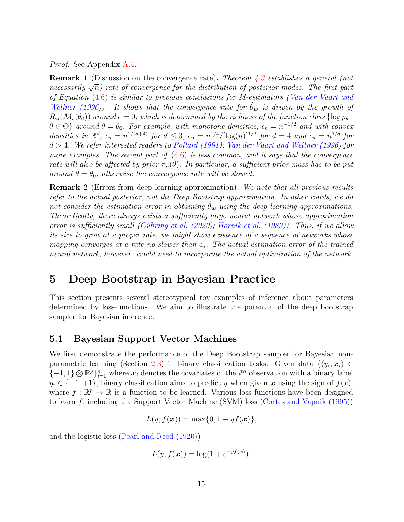*Proof.* See Appendix [A.4.](#page-29-0)

**Remark 1** (Discussion on the convergence rate)**.** *Theorem [4.3](#page-13-0) establishes a general (not nemark n (Discussion on the convergence rate). Theorem 4.5 estimates a general (not necessarily*  $\sqrt{n}$ ) rate of convergence for the distribution of posterior modes. The first part *of Equation* [\(4.6\)](#page-13-1) *is similar to previous conclusions for M-estimators [\(Van der Vaart and](#page-26-9) [Wellner \(1996\)](#page-26-9)). It shows that the convergence rate for*  $\hat{\theta}_{w}$  *is driven by the growth of*  $\mathcal{R}_n(\mathcal{M}_{\epsilon}(\theta_0))$  around  $\epsilon = 0$ , which is determined by the richness of the function class  $\{\log p_\theta :$  $\theta \in \Theta$ } *around*  $\theta = \theta_0$ . For example, with monotone densities,  $\epsilon_n = n^{-1/2}$  and with convex densities in  $\mathbb{R}^d$ ,  $\epsilon_n = n^{2/(d+4)}$  for  $d \leq 3$ ,  $\epsilon_n = n^{1/4} / [\log(n)]^{1/2}$  for  $d = 4$  and  $\epsilon_n = n^{1/d}$  for *d >* 4*. We refer interested readers to [Pollard \(1991\)](#page-25-10); [Van der Vaart and Wellner \(1996\)](#page-26-9) for more examples. The second part of* [\(4.6\)](#page-13-1) *is less common, and it says that the convergence rate will also be affected by prior*  $\pi_n(\theta)$ *. In particular, a sufficient prior mass has to be put around*  $\theta = \theta_0$ *, otherwise the convergence rate will be slowed.* 

**Remark 2** (Errors from deep learning approximation)**.** *We note that all previous results refer to the actual posterior, not the Deep Bootstrap approximation. In other words, we do not consider the estimation error in obtaining*  $\hat{\theta}_{w}$  *using the deep learning approximations. Theoretically, there always exists a sufficiently large neural network whose approximation error is sufficiently small [\(Gühring et al. \(2020\)](#page-23-12); [Hornik et al. \(1989\)](#page-23-13)). Thus, if we allow its size to grow at a proper rate, we might show existence of a sequence of networks whose mapping converges at a rate no slower than*  $\epsilon_n$ . The actual estimation error of the trained *neural network, however, would need to incorporate the actual optimization of the network.*

## **5 Deep Bootstrap in Bayesian Practice**

This section presents several stereotypical toy examples of inference about parameters determined by loss-functions. We aim to illustrate the potential of the deep bootstrap sampler for Bayesian inference.

#### <span id="page-14-0"></span>**5.1 Bayesian Support Vector Machines**

We first demonstrate the performance of the Deep Bootstrap sampler for Bayesian non-parametric learning (Section [2.3\)](#page-5-0) in binary classification tasks. Given data  $\{(y_i, x_i) \in$  $\{-1, 1\} \otimes \mathbb{R}^p\}_{i=1}^n$  where  $x_i$  denotes the covariates of the  $i^{th}$  observation with a binary label  $y_i \in \{-1, +1\}$ , binary classification aims to predict *y* when given x using the sign of  $f(x)$ , where  $f : \mathbb{R}^p \to \mathbb{R}$  is a function to be learned. Various loss functions have been designed to learn *f*, including the Support Vector Machine (SVM) loss [\(Cortes and Vapnik \(1995\)](#page-22-11))

$$
L(y, f(\boldsymbol{x})) = \max\{0, 1 - yf(\boldsymbol{x})\},\
$$

and the logistic loss [\(Pearl and Reed \(1920\)](#page-24-12))

$$
L(y, f(\boldsymbol{x})) = \log(1 + e^{-y f(\boldsymbol{x})}).
$$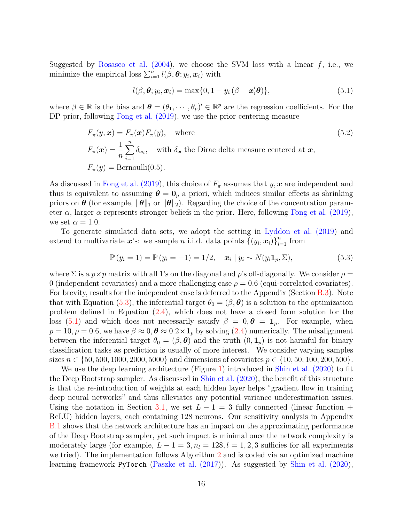Suggested by Rosasco et al.  $(2004)$ , we choose the SVM loss with a linear  $f$ , i.e., we minimize the empirical loss  $\sum_{i=1}^{n} l(\beta, \theta; y_i, x_i)$  with

<span id="page-15-2"></span><span id="page-15-1"></span>
$$
l(\beta, \boldsymbol{\theta}; y_i, \boldsymbol{x}_i) = \max\{0, 1 - y_i(\beta + \boldsymbol{x}_i^{\prime}\boldsymbol{\theta})\},\tag{5.1}
$$

where  $\beta \in \mathbb{R}$  is the bias and  $\boldsymbol{\theta} = (\theta_1, \dots, \theta_p)' \in \mathbb{R}^p$  are the regression coefficients. For the DP prior, following Fong et al.  $(2019)$ , we use the prior centering measure

$$
F_{\pi}(y, x) = F_{\pi}(x) F_{\pi}(y), \text{ where}
$$
\n
$$
F_{\pi}(x) = \frac{1}{n} \sum_{i=1}^{n} \delta_{x_i}, \text{ with } \delta_x \text{ the Dirac delta measure centered at } x,
$$
\n
$$
F_{\pi}(y) = \text{Bernoulli}(0.5).
$$
\n(5.2)

As discussed in [Fong et al. \(2019\)](#page-22-7), this choice of  $F_{\pi}$  assumes that *y*, *x* are independent and thus is equivalent to assuming  $\theta = 0_p$  a priori, which induces similar effects as shrinking priors on  $\theta$  (for example,  $\|\theta\|_1$  or  $\|\theta\|_2$ ). Regarding the choice of the concentration parameter  $\alpha$ , larger  $\alpha$  represents stronger beliefs in the prior. Here, following [Fong et al. \(2019\)](#page-22-7), we set  $\alpha = 1.0$ .

To generate simulated data sets, we adopt the setting in [Lyddon et al. \(2019\)](#page-24-2) and extend to multivariate x's: we sample *n* i.i.d. data points  $\{(y_i, x_i)\}_{i=1}^n$  from

<span id="page-15-0"></span>
$$
\mathbb{P}(y_i = 1) = \mathbb{P}(y_i = -1) = 1/2, \quad \mathbf{x}_i \mid y_i \sim N(y_i \mathbf{1}_p, \Sigma), \tag{5.3}
$$

where  $\Sigma$  is a  $p \times p$  matrix with all 1's on the diagonal and  $\rho$ 's off-diagonally. We consider  $\rho =$ 0 (independent covariates) and a more challenging case  $\rho = 0.6$  (equi-correlated covariates). For brevity, results for the independent case is deferred to the Appendix (Section [B.3\)](#page-36-0). Note that with Equation [\(5.3\)](#page-15-0), the inferential target  $\theta_0 = (\beta, \theta)$  is a solution to the optimization problem defined in Equation [\(2.4\)](#page-4-1), which does not have a closed form solution for the loss [\(5.1\)](#page-15-1) and which does not necessarily satisfy  $\beta = 0, \theta = 1_p$ . For example, when  $p = 10, \rho = 0.6$ , we have  $\beta \approx 0, \theta \approx 0.2 \times 1_p$  by solving [\(2.4\)](#page-4-1) numerically. The misalignment between the inferential target  $\theta_0 = (\beta, \theta)$  and the truth  $(0, 1_p)$  is not harmful for binary classification tasks as prediction is usually of more interest. We consider varying samples sizes  $n \in \{50, 500, 1000, 2000, 5000\}$  and dimensions of covariates  $p \in \{10, 50, 100, 200, 500\}$ .

We use the deep learning architecture (Figure [1\)](#page-8-1) introduced in [Shin et al. \(2020\)](#page-26-6) to fit the Deep Bootstrap sampler. As discussed in [Shin et al. \(2020\)](#page-26-6), the benefit of this structure is that the re-introduction of weights at each hidden layer helps "gradient flow in training deep neural networks" and thus alleviates any potential variance underestimation issues. Using the notation in Section [3.1,](#page-7-1) we set  $L-1=3$  fully connected (linear function + ReLU) hidden layers, each containing 128 neurons. Our sensitivity analysis in Appendix [B.1](#page-33-0) shows that the network architecture has an impact on the approximating performance of the Deep Bootstrap sampler, yet such impact is minimal once the network complexity is moderately large (for example,  $L - 1 = 3$ ,  $n_l = 128$ ,  $l = 1, 2, 3$  sufficies for all experiments we tried). The implementation follows Algorithm [2](#page-10-0) and is coded via an optimized machine learning framework PyTorch [\(Paszke et al. \(2017\)](#page-24-13)). As suggested by [Shin et al. \(2020\)](#page-26-6),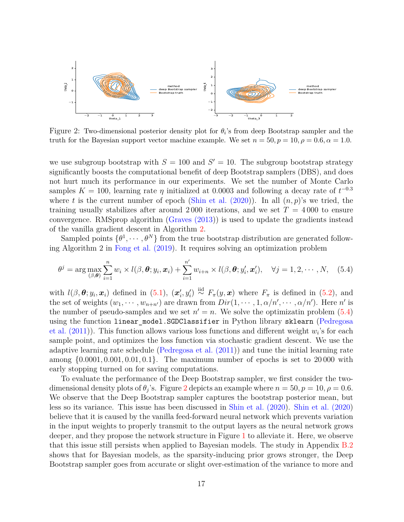<span id="page-16-1"></span>

Figure 2: Two-dimensional posterior density plot for  $\theta_i$ 's from deep Bootstrap sampler and the truth for the Bayesian support vector machine example. We set  $n = 50, p = 10, \rho = 0.6, \alpha = 1.0$ .

we use subgroup bootstrap with  $S = 100$  and  $S' = 10$ . The subgroup bootstrap strategy significantly boosts the computational benefit of deep Bootstrap samplers (DBS), and does not hurt much its performance in our experiments. We set the number of Monte Carlo samples  $K = 100$ , learning rate  $\eta$  initialized at 0.0003 and following a decay rate of  $t^{-0.3}$ where *t* is the current number of epoch (Shin et al.  $(2020)$ ). In all  $(n, p)$ 's we tried, the training usually stabilizes after around 2000 iterations, and we set  $T = 4000$  to ensure convergence. RMSprop algorithm [\(Graves \(2013\)](#page-22-12)) is used to update the gradients instead of the vanilla gradient descent in Algorithm [2.](#page-10-0)

Sampled points  $\{\theta^1, \dots, \theta^N\}$  from the true bootstrap distribution are generated following Algorithm 2 in [Fong et al. \(2019\)](#page-22-7). It requires solving an optimization problem

<span id="page-16-0"></span>
$$
\theta^{j} = \arg \max_{(\beta, \boldsymbol{\theta})} \sum_{i=1}^{n} w_{i} \times l(\beta, \boldsymbol{\theta}; y_{i}, \boldsymbol{x}_{i}) + \sum_{i=1}^{n'} w_{i+n} \times l(\beta, \boldsymbol{\theta}; y'_{i}, \boldsymbol{x}'_{i}), \quad \forall j = 1, 2, \cdots, N, \quad (5.4)
$$

with  $l(\beta, \theta; y_i, x_i)$  defined in [\(5.1\)](#page-15-1),  $(x'_i, y'_i) \stackrel{\text{iid}}{\sim} F_\pi(y, x)$  where  $F_\pi$  is defined in [\(5.2\)](#page-15-2), and the set of weights  $(w_1, \dots, w_{n+n})$  are drawn from  $Dir(1, \dots, 1, \alpha/n', \dots, \alpha/n')$ . Here n' is the number of pseudo-samples and we set  $n' = n$ . We solve the optimizatin problem  $(5.4)$ using the function linear\_model.SGDClassifier in Python library sklearn [\(Pedregosa](#page-24-14) [et al. \(2011\)](#page-24-14)). This function allows various loss functions and different weight *w<sup>i</sup>* 's for each sample point, and optimizes the loss function via stochastic gradient descent. We use the adaptive learning rate schedule [\(Pedregosa et al. \(2011\)](#page-24-14)) and tune the initial learning rate among {0*.*0001*,* 0*.*001*,* 0*.*01*,* 0*.*1}. The maximum number of epochs is set to 20 000 with early stopping turned on for saving computations.

To evaluate the performance of the Deep Bootstrap sampler, we first consider the twodimensional density plots of  $\theta_j$ 's. Figure [2](#page-16-1) depicts an example where  $n = 50, p = 10, \rho = 0.6$ . We observe that the Deep Bootstrap sampler captures the bootstrap posterior mean, but less so its variance. This issue has been discussed in [Shin et al. \(2020\)](#page-26-6). [Shin et al. \(2020\)](#page-26-6) believe that it is caused by the vanilla feed-forward neural network which prevents variation in the input weights to properly transmit to the output layers as the neural network grows deeper, and they propose the network structure in Figure [1](#page-8-1) to alleviate it. Here, we observe that this issue still persists when applied to Bayesian models. The study in Appendix [B.2](#page-33-1) shows that for Bayesian models, as the sparsity-inducing prior grows stronger, the Deep Bootstrap sampler goes from accurate or slight over-estimation of the variance to more and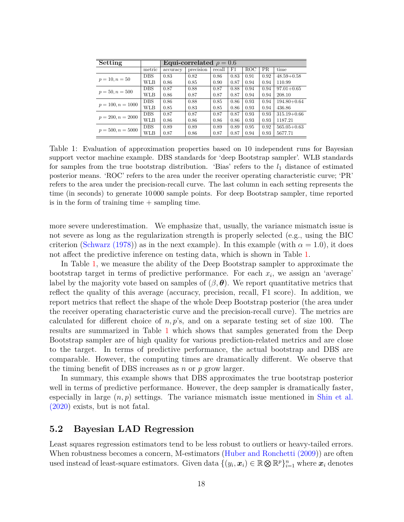<span id="page-17-1"></span>

| Setting             |            | Equi-correlated $\rho = 0.6$ |           |        |      |      |                                                                      |                 |  |  |  |
|---------------------|------------|------------------------------|-----------|--------|------|------|----------------------------------------------------------------------|-----------------|--|--|--|
|                     | metric     | accuracy                     | precision | recall | F1   | ROC  | PR.                                                                  | time            |  |  |  |
|                     | <b>DBS</b> | 0.83                         | 0.82      | 0.86   | 0.83 | 0.91 | 0.92                                                                 | $48.59 + 0.58$  |  |  |  |
| $p = 10, n = 50$    | WLB        | 0.86                         | 0.85      | 0.90   | 0.87 | 0.94 | 0.94<br>0.94<br>0.94<br>0.94<br>0.94<br>0.93<br>0.93<br>0.92<br>0.93 | 110.99          |  |  |  |
| $p = 50, n = 500$   | <b>DBS</b> | 0.87                         | 0.88      | 0.87   | 0.88 | 0.94 |                                                                      | $97.01 + 0.65$  |  |  |  |
|                     | WLB        | 0.86                         | 0.87      | 0.87   | 0.87 | 0.94 |                                                                      | 208.10          |  |  |  |
| $p = 100, n = 1000$ | <b>DBS</b> | 0.86                         | 0.88      | 0.85   | 0.86 | 0.93 |                                                                      | $194.80 + 0.64$ |  |  |  |
|                     | WLB        | 0.85                         | 0.83      | 0.85   | 0.86 | 0.93 |                                                                      | 436.86          |  |  |  |
| $p = 200, n = 2000$ | <b>DBS</b> | 0.87                         | 0.87      | 0.87   | 0.87 | 0.93 |                                                                      | $315.19 + 0.66$ |  |  |  |
|                     | WLB        | 0.86                         | 0.86      | 0.86   | 0.86 | 0.93 |                                                                      | 1187.21         |  |  |  |
| $p = 500, n = 5000$ | <b>DBS</b> | 0.89                         | 0.89      | 0.89   | 0.89 | 0.95 |                                                                      | $565.05 + 0.63$ |  |  |  |
|                     | WLB        | 0.87                         | 0.86      | 0.87   | 0.87 | 0.94 |                                                                      | 5677.71         |  |  |  |

Table 1: Evaluation of approximation properties based on 10 independent runs for Bayesian support vector machine example. DBS standards for 'deep Bootstrap sampler'. WLB standards for samples from the true bootstrap distribution. 'Bias' refers to the  $l_1$  distance of estimated posterior means. 'ROC' refers to the area under the receiver operating characteristic curve; 'PR' refers to the area under the precision-recall curve. The last column in each setting represents the time (in seconds) to generate 10 000 sample points. For deep Bootstrap sampler, time reported is in the form of training time  $+$  sampling time.

more severe underestimation. We emphasize that, usually, the variance mismatch issue is not severe as long as the regularization strength is properly selected (e.g., using the BIC criterion [\(Schwarz \(1978\)](#page-25-12)) as in the next example). In this example (with  $\alpha = 1.0$ ), it does not affect the predictive inference on testing data, which is shown in Table [1.](#page-17-1)

In Table [1,](#page-17-1) we measure the ability of the Deep Bootstrap sampler to approximate the bootstrap target in terms of predictive performance. For each  $x_i$ , we assign an 'average' label by the majority vote based on samples of  $(\beta, \theta)$ . We report quantitative metrics that reflect the quality of this average (accuracy, precision, recall, F1 score). In addition, we report metrics that reflect the shape of the whole Deep Bootstrap posterior (the area under the receiver operating characteristic curve and the precision-recall curve). The metrics are calculated for different choice of *n, p*'s, and on a separate testing set of size 100. The results are summarized in Table [1](#page-17-1) which shows that samples generated from the Deep Bootstrap sampler are of high quality for various prediction-related metrics and are close to the target. In terms of predictive performance, the actual bootstrap and DBS are comparable. However, the computing times are dramatically different. We observe that the timing benefit of DBS increases as *n* or *p* grow larger.

In summary, this example shows that DBS approximates the true bootstrap posterior well in terms of predictive performance. However, the deep sampler is dramatically faster, especially in large  $(n, p)$  settings. The variance mismatch issue mentioned in [Shin et al.](#page-26-6) [\(2020\)](#page-26-6) exists, but is not fatal.

#### <span id="page-17-0"></span>**5.2 Bayesian LAD Regression**

Least squares regression estimators tend to be less robust to outliers or heavy-tailed errors. When robustness becomes a concern, M-estimators [\(Huber and Ronchetti \(2009\)](#page-23-1)) are often used instead of least-square estimators. Given data  $\{(y_i, x_i) \in \mathbb{R} \otimes \mathbb{R}^p\}_{i=1}^n$  where  $x_i$  denotes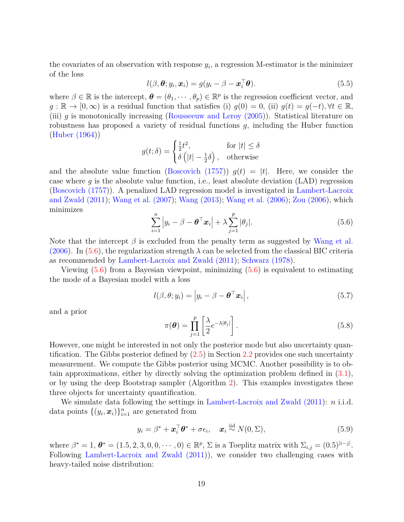the covariates of an observation with response  $y_i$ , a regression M-estimator is the minimizer of the loss

$$
l(\beta, \boldsymbol{\theta}; y_i, \boldsymbol{x}_i) = g(y_i - \beta - \boldsymbol{x}_i^{\top} \boldsymbol{\theta}). \tag{5.5}
$$

where  $\beta \in \mathbb{R}$  is the intercept,  $\boldsymbol{\theta} = (\theta_1, \dots, \theta_p) \in \mathbb{R}^p$  is the regression coefficient vector, and  $g: \mathbb{R} \to [0, \infty)$  is a residual function that satisfies (i)  $g(0) = 0$ , (ii)  $g(t) = g(-t), \forall t \in \mathbb{R}$ , (iii) *g* is monotonically increasing [\(Rousseeuw and Leroy \(2005\)](#page-25-13)). Statistical literature on robustness has proposed a variety of residual functions *g*, including the Huber function [\(Huber \(1964\)](#page-23-14))

$$
g(t; \delta) = \begin{cases} \frac{1}{2}t^2, & \text{for } |t| \le \delta \\ \delta(|t| - \frac{1}{2}\delta), & \text{otherwise} \end{cases}
$$

and the absolute value function [\(Boscovich \(1757\)](#page-21-10))  $g(t) = |t|$ . Here, we consider the case where *g* is the absolute value function, i.e., least absolute deviation (LAD) regression [\(Boscovich \(1757\)](#page-21-10)). A penalized LAD regression model is investigated in [Lambert-Lacroix](#page-23-15) [and Zwald \(2011\)](#page-23-15); [Wang et al. \(2007\)](#page-26-10); [Wang \(2013\)](#page-26-11); [Wang et al. \(2006\)](#page-26-12); [Zou \(2006\)](#page-26-13), which minimizes

<span id="page-18-0"></span>
$$
\sum_{i=1}^{n} |y_i - \beta - \boldsymbol{\theta}^{\top} \boldsymbol{x}_i| + \lambda \sum_{j=1}^{p} |\theta_j|.
$$
 (5.6)

Note that the intercept  $\beta$  is excluded from the penalty term as suggested by [Wang et al.](#page-26-12) [\(2006\)](#page-26-12). In [\(5.6\)](#page-18-0), the regularization strength  $\lambda$  can be selected from the classical BIC criteria as recommended by [Lambert-Lacroix and Zwald \(2011\)](#page-23-15); [Schwarz \(1978\)](#page-25-12).

Viewing  $(5.6)$  from a Bayesian viewpoint, minimizing  $(5.6)$  is equivalent to estimating the mode of a Bayesian model with a loss

<span id="page-18-1"></span>
$$
l(\beta, \theta; y_i) = |y_i - \beta - \boldsymbol{\theta}^\top \boldsymbol{x}_i|,\tag{5.7}
$$

and a prior

<span id="page-18-2"></span>
$$
\pi(\boldsymbol{\theta}) = \prod_{j=1}^{p} \left[ \frac{\lambda}{2} e^{-\lambda |\theta_j|} \right]. \tag{5.8}
$$

However, one might be interested in not only the posterior mode but also uncertainty quantification. The Gibbs posterior defined by [\(2.5\)](#page-4-0) in Section [2.2](#page-4-2) provides one such uncertainty measurement. We compute the Gibbs posterior using MCMC. Another possibility is to obtain approximations, either by directly solving the optimization problem defined in [\(3.1\)](#page-6-0), or by using the deep Bootstrap sampler (Algorithm [2\)](#page-10-0). This examples investigates these three objects for uncertainty quantification.

We simulate data following the settings in [Lambert-Lacroix and Zwald \(2011\)](#page-23-15): *n* i.i.d. data points  $\{(y_i, x_i)\}_{i=1}^n$  are generated from

$$
y_i = \beta^* + \boldsymbol{x}_i^{\top} \boldsymbol{\theta}^* + \sigma \epsilon_i, \quad \boldsymbol{x}_i \stackrel{\text{iid}}{\sim} N(0, \Sigma), \tag{5.9}
$$

where  $\beta^* = 1$ ,  $\theta^* = (1.5, 2, 3, 0, 0, \dots, 0) \in \mathbb{R}^p$ ,  $\Sigma$  is a Toeplitz matrix with  $\Sigma_{i,j} = (0.5)^{|i-j|}$ . Following [Lambert-Lacroix and Zwald \(2011\)](#page-23-15)), we consider two challenging cases with heavy-tailed noise distribution: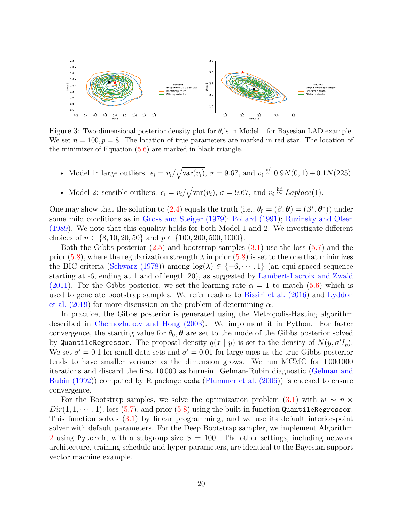<span id="page-19-0"></span>

Figure 3: Two-dimensional posterior density plot for  $\theta_i$ 's in Model 1 for Bayesian LAD example. We set  $n = 100, p = 8$ . The location of true parameters are marked in red star. The location of the minimizer of Equation  $(5.6)$  are marked in black triangle.

- Model 1: large outliers.  $\epsilon_i = v_i / \sqrt{\text{var}(v_i)}$ ,  $\sigma = 9.67$ , and  $v_i \stackrel{\text{iid}}{\sim} 0.9N(0, 1) + 0.1N(225)$ .
- Model 2: sensible outliers.  $\epsilon_i = v_i / \sqrt{\text{var}(v_i)}$ ,  $\sigma = 9.67$ , and  $v_i \stackrel{\text{iid}}{\sim} Laplace(1)$ .

One may show that the solution to [\(2.4\)](#page-4-1) equals the truth (i.e.,  $\theta_0 = (\beta, \theta) = (\beta^*, \theta^*)$ ) under some mild conditions as in [Gross and Steiger \(1979\)](#page-22-13); [Pollard \(1991\)](#page-25-10); [Ruzinsky and Olsen](#page-25-14) [\(1989\)](#page-25-14). We note that this equality holds for both Model 1 and 2. We investigate different choices of  $n \in \{8, 10, 20, 50\}$  and  $p \in \{100, 200, 500, 1000\}$ .

Both the Gibbs posterior [\(2.5\)](#page-4-0) and bootstrap samples [\(3.1\)](#page-6-0) use the loss [\(5.7\)](#page-18-1) and the prior  $(5.8)$ , where the regularization strength  $\lambda$  in prior  $(5.8)$  is set to the one that minimizes the BIC criteria [\(Schwarz \(1978\)](#page-25-12)) among  $log(\lambda) \in \{-6, \dots, 1\}$  (an equi-spaced sequence starting at -6, ending at 1 and of length 20), as suggested by [Lambert-Lacroix and Zwald](#page-23-15) [\(2011\)](#page-23-15). For the Gibbs posterior, we set the learning rate  $\alpha = 1$  to match [\(5.6\)](#page-18-0) which is used to generate bootstrap samples. We refer readers to [Bissiri et al. \(2016\)](#page-21-0) and [Lyddon](#page-24-2) [et al. \(2019\)](#page-24-2) for more discussion on the problem of determining *α*.

In practice, the Gibbs posterior is generated using the Metropolis-Hasting algorithm described in [Chernozhukov and Hong \(2003\)](#page-22-2). We implement it in Python. For faster convergence, the starting value for  $\theta_0$ ,  $\theta$  are set to the mode of the Gibbs posterior solved by QuantileRegressor. The proposal density  $q(x | y)$  is set to the density of  $N(y, \sigma' I_p)$ . We set  $\sigma' = 0.1$  for small data sets and  $\sigma' = 0.01$  for large ones as the true Gibbs posterior tends to have smaller variance as the dimension grows. We run MCMC for 1 000 000 iterations and discard the first 10 000 as burn-in. Gelman-Rubin diagnostic [\(Gelman and](#page-22-14) [Rubin \(1992\)](#page-22-14)) computed by R package coda [\(Plummer et al. \(2006\)](#page-25-15)) is checked to ensure convergence.

For the Bootstrap samples, we solve the optimization problem [\(3.1\)](#page-6-0) with  $w \sim n \times$  $Dir(1,1,\dots,1)$ , loss  $(5.7)$ , and prior  $(5.8)$  using the built-in function QuantileRegressor. This function solves [\(3.1\)](#page-6-0) by linear programming, and we use its default interior-point solver with default parameters. For the Deep Bootstrap sampler, we implement Algorithm [2](#page-10-0) using Pytorch, with a subgroup size  $S = 100$ . The other settings, including network architecture, training schedule and hyper-parameters, are identical to the Bayesian support vector machine example.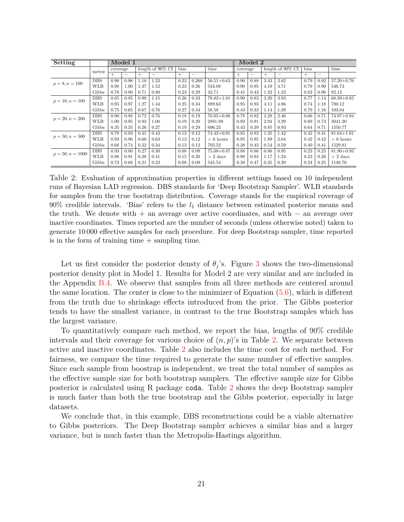<span id="page-20-0"></span>

| Setting            |            | Model 1  |      |                     |      |      |                          |                |          | Model 2 |                     |                          |        |                   |                |  |  |
|--------------------|------------|----------|------|---------------------|------|------|--------------------------|----------------|----------|---------|---------------------|--------------------------|--------|-------------------|----------------|--|--|
|                    | metric     | coverage |      | length of $90\%$ CI |      | bias |                          | time           | coverage |         | length of $90\%$ CI |                          | bias   |                   | time           |  |  |
|                    |            | $^{+}$   |      | $^{+}$              | -    | $+$  | $\overline{\phantom{0}}$ |                | $^{+}$   | -       | $^{+}$              | $\overline{\phantom{0}}$ | $^{+}$ | $\qquad \qquad -$ |                |  |  |
| $p = 8, n = 100$   | <b>DBS</b> | 0.90     | 0.98 | 1.10                | 1.23 | 0.23 | 0.268                    | $50.51 + 0.63$ | 0.90     | 0.88    | 3.43                | 3.82                     | 0.79   | 0.92              | $57.20 + 0.76$ |  |  |
|                    | <b>WLB</b> | 0.98     | 1.00 | 1.37                | 1.52 | 0.23 | 0.26                     | 534.08         | 0.90     | 0.95    | 4.19                | 4.71                     | 0.79   | 0.90              | 546.73         |  |  |
|                    | Gibbs      | 0.78     | 0.80 | 0.71                | 0.80 | 0.23 | 0.29                     | 42.71          | 0.45     | 0.43    | 1.22                | 1.32                     | 0.82   | 0.96              | 82.12          |  |  |
|                    | <b>DBS</b> | 0.85     | 0.85 | 0.99                | 1.15 | 0.26 | 0.33                     | $79.83 + 1.01$ | 0.90     | 0.83    | 3.20                | 3.93                     | 0.77   | 1.14              | $68.39 + 0.85$ |  |  |
| $p = 10, n = 100$  | <b>WLB</b> | 0.95     | 0.97 | 1.27                | 1.44 | 0.25 | 0.34                     | 889.63         | 0.95     | 0.93    | 4.11                | 4.86                     | 0.74   | 1.18              | 780.12         |  |  |
|                    | Gibbs      | 0.75     | 0.65 | 0.67                | 0.76 | 0.27 | 0.34                     | 58.58          | 0.43     | 0.33    | 1.14                | 1.39                     | 0.79   | 1.16              | 103.04         |  |  |
| $p = 20, n = 200$  | <b>DBS</b> | 0.90     | 0.88 | 0.72                | 0.76 | 0.18 | 0.19                     | $70.05 + 0.86$ | 0.78     | 0.82    | 2.28                | 2.46                     | 0.66   | 0.71              | $74.97 + 0.94$ |  |  |
|                    | <b>WLB</b> | 1.00     | 0.95 | 0.93                | 1.00 | 0.19 | 0.20                     | 2891.89        | 0.93     | 0.91    | 2.94                | 3.29                     | 0.69   | 0.73              | 3041.20        |  |  |
|                    | Gibbs      | 0.35     | 0.35 | 0.26                | 0.27 | 0.19 | 0.29                     | 696.23         | 0.43     | 0.39    | 0.85                | 0.93                     | 0.64   | 0.71              | 1550.77        |  |  |
| $p = 50, n = 500$  | <b>DBS</b> | 0.78     | 0.83 | 0.41                | 0.43 | 0.13 | 0.12                     | $74.43 + 0.91$ | 0.85     | 0.82    | 1.35                | 1.42                     | 0.42   | 0.41              | $81.64 + 1.01$ |  |  |
|                    | <b>WLB</b> | 0.93     | 0.96 | 0.60                | 0.63 | 0.13 | 0.12                     | $> 6$ hours    | 0.95     | 0.95    | 1.89                | 2.04                     | 0.42   | 0.42              | $> 6$ hours    |  |  |
|                    | Gibbs      | 0.68     | 0.74 | 0.32                | 0.34 | 0.13 | 0.12                     | 703.52         | 0.38     | 0.43    | 0.54                | 0.59                     | 0.40   | 0.41              | 1529.81        |  |  |
| $p = 50, n = 1000$ | <b>DBS</b> | 0.93     | 0.80 | 0.27                | 0.30 | 0.08 | 0.09                     | $75.08 + 0.87$ | 0.88     | 0.86    | 0.86                | 0.95                     | 0.23   | 0.25              | $81.90 + 0.93$ |  |  |
|                    | <b>WLB</b> | 0.98     | 0.91 | 0.38                | 0.41 | 0.15 | 0.20                     | $> 2$ days     | 0.98     | 0.94    | 1.17                | 1.24                     | 0.23   | 0.26              | $> 2$ days     |  |  |
|                    | Gibbs      | 0.73     | 0.68 | 0.21                | 0.23 | 0.08 | 0.09                     | 545.54         | 0.38     | 0.47    | 0.35                | 0.39                     | 0.24   | 0.25              | 1140.76        |  |  |

Table 2: Evaluation of approximation properties in different settings based on 10 independent runs of Bayesian LAD regression. DBS standards for 'Deep Bootstrap Sampler'. WLB standards for samples from the true bootstrap distribution. Coverage stands for the empirical coverage of 90% credible intervals. 'Bias' refers to the *l*<sup>1</sup> distance between estimated posterior means and the truth. We denote with + an average over active coordinates, and with − an average over inactive coordinates. Times reported are the number of seconds (unless otherwise noted) taken to generate 10 000 effective samples for each procedure. For deep Bootstrap sampler, time reported is in the form of training time  $+$  sampling time.

Let us first consider the posterior densty of  $\theta_j$ 's. Figure [3](#page-19-0) shows the two-dimensional posterior density plot in Model 1. Results for Model 2 are very similar and are included in the Appendix [B.4.](#page-37-0) We observe that samples from all three methods are centered around the same location. The center is close to the minimizer of Equation [\(5.6\)](#page-18-0), which is different from the truth due to shrinkage effects introduced from the prior. The Gibbs posterior tends to have the smallest variance, in contrast to the true Bootstrap samples which has the largest variance.

To quantitatively compare each method, we report the bias, lengths of 90% credible intervals and their coverage for various choice of  $(n, p)$ 's in Table [2.](#page-20-0) We separate between active and inactive coordinates. Table [2](#page-20-0) also includes the time cost for each method. For fairness, we compare the time required to generate the same number of effective samples. Since each sample from boostrap is independent, we treat the total number of samples as the effective sample size for both bootstrap samplers. The effective sample size for Gibbs posterior is calculated using R package coda. Table [2](#page-20-0) shows the deep Bootstrap sampler is much faster than both the true bootstrap and the Gibbs posterior, especially in large datasets.

We conclude that, in this example, DBS reconstructions could be a viable alternative to Gibbs posteriors. The Deep Bootstrap sampler achieves a similar bias and a larger variance, but is much faster than the Metropolis-Hastings algorithm.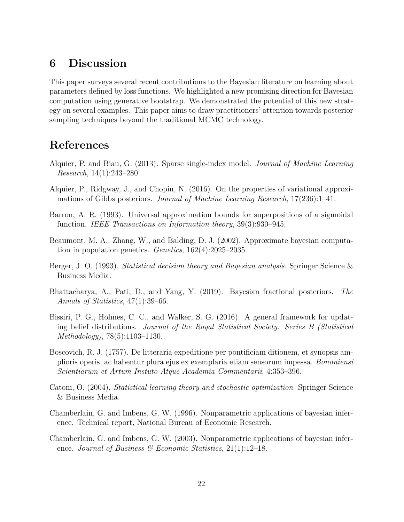## **6 Discussion**

This paper surveys several recent contributions to the Bayesian literature on learning about parameters defined by loss functions. We highlighted a new promising direction for Bayesian computation using generative bootstrap. We demonstrated the potential of this new strategy on several examples. This paper aims to draw practitioners' attention towards posterior sampling techniques beyond the traditional MCMC technology.

# **References**

- <span id="page-21-5"></span>Alquier, P. and Biau, G. (2013). Sparse single-index model. *Journal of Machine Learning Research*, 14(1):243–280.
- <span id="page-21-3"></span>Alquier, P., Ridgway, J., and Chopin, N. (2016). On the properties of variational approximations of Gibbs posteriors. *Journal of Machine Learning Research*, 17(236):1–41.
- <span id="page-21-8"></span>Barron, A. R. (1993). Universal approximation bounds for superpositions of a sigmoidal function. *IEEE Transactions on Information theory*, 39(3):930–945.
- <span id="page-21-7"></span>Beaumont, M. A., Zhang, W., and Balding, D. J. (2002). Approximate bayesian computation in population genetics. *Genetics*, 162(4):2025–2035.
- <span id="page-21-4"></span>Berger, J. O. (1993). *Statistical decision theory and Bayesian analysis*. Springer Science & Business Media.
- <span id="page-21-9"></span>Bhattacharya, A., Pati, D., and Yang, Y. (2019). Bayesian fractional posteriors. *The Annals of Statistics*, 47(1):39–66.
- <span id="page-21-0"></span>Bissiri, P. G., Holmes, C. C., and Walker, S. G. (2016). A general framework for updating belief distributions. *Journal of the Royal Statistical Society: Series B (Statistical Methodology)*, 78(5):1103–1130.
- <span id="page-21-10"></span>Boscovich, R. J. (1757). De litteraria expeditione per pontificiam ditionem, et synopsis amplioris operis, ac habentur plura ejus ex exemplaria etiam sensorum impessa. *Bononiensi Scientiarum et Artum Instuto Atque Academia Commentarii*, 4:353–396.
- <span id="page-21-2"></span>Catoni, O. (2004). *Statistical learning theory and stochastic optimization*. Springer Science & Business Media.
- <span id="page-21-6"></span>Chamberlain, G. and Imbens, G. W. (1996). Nonparametric applications of bayesian inference. Technical report, National Bureau of Economic Research.
- <span id="page-21-1"></span>Chamberlain, G. and Imbens, G. W. (2003). Nonparametric applications of bayesian inference. *Journal of Business & Economic Statistics*, 21(1):12–18.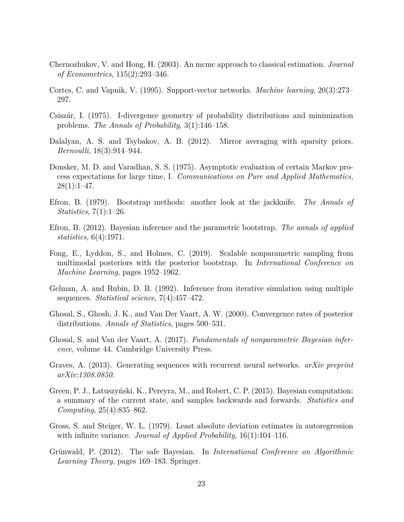- <span id="page-22-2"></span>Chernozhukov, V. and Hong, H. (2003). An mcmc approach to classical estimation. *Journal of Econometrics*, 115(2):293–346.
- <span id="page-22-11"></span>Cortes, C. and Vapnik, V. (1995). Support-vector networks. *Machine learning*, 20(3):273– 297.
- <span id="page-22-0"></span>Csiszár, I. (1975). I-divergence geometry of probability distributions and minimization problems. *The Annals of Probability*, 3(1):146–158.
- <span id="page-22-4"></span>Dalalyan, A. S. and Tsybakov, A. B. (2012). Mirror averaging with sparsity priors. *Bernoulli*, 18(3):914–944.
- <span id="page-22-1"></span>Donsker, M. D. and Varadhan, S. S. (1975). Asymptotic evaluation of certain Markov process expectations for large time, I. *Communications on Pure and Applied Mathematics*,  $28(1):1-47.$
- <span id="page-22-6"></span>Efron, B. (1979). Bootstrap methods: another look at the jackknife. *The Annals of Statistics*, 7(1):1–26.
- <span id="page-22-8"></span>Efron, B. (2012). Bayesian inference and the parametric bootstrap. *The annals of applied statistics*, 6(4):1971.
- <span id="page-22-7"></span>Fong, E., Lyddon, S., and Holmes, C. (2019). Scalable nonparametric sampling from multimodal posteriors with the posterior bootstrap. In *International Conference on Machine Learning*, pages 1952–1962.
- <span id="page-22-14"></span>Gelman, A. and Rubin, D. B. (1992). Inference from iterative simulation using multiple sequences. *Statistical science*, 7(4):457–472.
- <span id="page-22-9"></span>Ghosal, S., Ghosh, J. K., and Van Der Vaart, A. W. (2000). Convergence rates of posterior distributions. *Annals of Statistics*, pages 500–531.
- <span id="page-22-10"></span>Ghosal, S. and Van der Vaart, A. (2017). *Fundamentals of nonparametric Bayesian inference*, volume 44. Cambridge University Press.
- <span id="page-22-12"></span>Graves, A. (2013). Generating sequences with recurrent neural networks. *arXiv preprint arXiv:1308.0850*.
- <span id="page-22-5"></span>Green, P. J., Łatuszyński, K., Pereyra, M., and Robert, C. P. (2015). Bayesian computation: a summary of the current state, and samples backwards and forwards. *Statistics and Computing*, 25(4):835–862.
- <span id="page-22-13"></span>Gross, S. and Steiger, W. L. (1979). Least absolute deviation estimates in autoregression with infinite variance. *Journal of Applied Probability*, 16(1):104–116.
- <span id="page-22-3"></span>Grünwald, P. (2012). The safe Bayesian. In *International Conference on Algorithmic Learning Theory*, pages 169–183. Springer.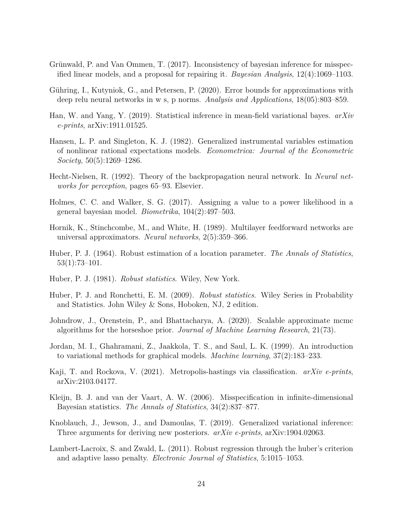- <span id="page-23-0"></span>Grünwald, P. and Van Ommen, T. (2017). Inconsistency of bayesian inference for misspecified linear models, and a proposal for repairing it. *Bayesian Analysis*, 12(4):1069–1103.
- <span id="page-23-12"></span>Gühring, I., Kutyniok, G., and Petersen, P. (2020). Error bounds for approximations with deep relu neural networks in w s, p norms. *Analysis and Applications*, 18(05):803–859.
- <span id="page-23-10"></span>Han, W. and Yang, Y. (2019). Statistical inference in mean-field variational bayes. *arXiv e-prints*, arXiv:1911.01525.
- <span id="page-23-2"></span>Hansen, L. P. and Singleton, K. J. (1982). Generalized instrumental variables estimation of nonlinear rational expectations models. *Econometrica: Journal of the Econometric Society*, 50(5):1269–1286.
- <span id="page-23-9"></span>Hecht-Nielsen, R. (1992). Theory of the backpropagation neural network. In *Neural networks for perception*, pages 65–93. Elsevier.
- <span id="page-23-8"></span>Holmes, C. C. and Walker, S. G. (2017). Assigning a value to a power likelihood in a general bayesian model. *Biometrika*, 104(2):497–503.
- <span id="page-23-13"></span>Hornik, K., Stinchcombe, M., and White, H. (1989). Multilayer feedforward networks are universal approximators. *Neural networks*, 2(5):359–366.
- <span id="page-23-14"></span>Huber, P. J. (1964). Robust estimation of a location parameter. *The Annals of Statistics*, 53(1):73–101.
- <span id="page-23-7"></span>Huber, P. J. (1981). *Robust statistics*. Wiley, New York.
- <span id="page-23-1"></span>Huber, P. J. and Ronchetti, E. M. (2009). *Robust statistics*. Wiley Series in Probability and Statistics. John Wiley & Sons, Hoboken, NJ, 2 edition.
- <span id="page-23-5"></span>Johndrow, J., Orenstein, P., and Bhattacharya, A. (2020). Scalable approximate mcmc algorithms for the horseshoe prior. *Journal of Machine Learning Research*, 21(73).
- <span id="page-23-4"></span>Jordan, M. I., Ghahramani, Z., Jaakkola, T. S., and Saul, L. K. (1999). An introduction to variational methods for graphical models. *Machine learning*, 37(2):183–233.
- <span id="page-23-11"></span>Kaji, T. and Rockova, V. (2021). Metropolis-hastings via classification. *arXiv e-prints*, arXiv:2103.04177.
- <span id="page-23-6"></span>Kleijn, B. J. and van der Vaart, A. W. (2006). Misspecification in infinite-dimensional Bayesian statistics. *The Annals of Statistics*, 34(2):837–877.
- <span id="page-23-3"></span>Knoblauch, J., Jewson, J., and Damoulas, T. (2019). Generalized variational inference: Three arguments for deriving new posteriors. *arXiv e-prints*, arXiv:1904.02063.
- <span id="page-23-15"></span>Lambert-Lacroix, S. and Zwald, L. (2011). Robust regression through the huber's criterion and adaptive lasso penalty. *Electronic Journal of Statistics*, 5:1015–1053.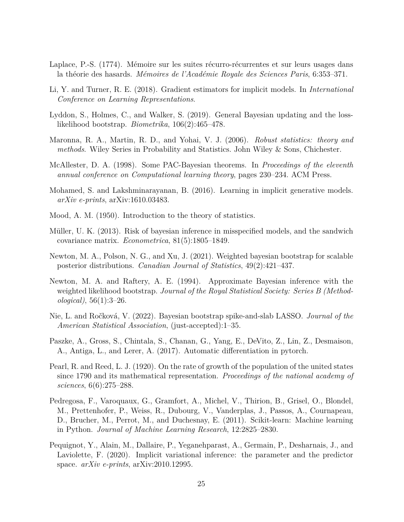- <span id="page-24-6"></span>Laplace, P.-S. (1774). Mémoire sur les suites récurro-récurrentes et sur leurs usages dans la théorie des hasards. *Mémoires de l'Académie Royale des Sciences Paris*, 6:353–371.
- <span id="page-24-3"></span>Li, Y. and Turner, R. E. (2018). Gradient estimators for implicit models. In *International Conference on Learning Representations*.
- <span id="page-24-2"></span>Lyddon, S., Holmes, C., and Walker, S. (2019). General Bayesian updating and the losslikelihood bootstrap. *Biometrika*, 106(2):465–478.
- <span id="page-24-5"></span>Maronna, R. A., Martin, R. D., and Yohai, V. J. (2006). *Robust statistics: theory and methods*. Wiley Series in Probability and Statistics. John Wiley & Sons, Chichester.
- <span id="page-24-7"></span>McAllester, D. A. (1998). Some PAC-Bayesian theorems. In *Proceedings of the eleventh annual conference on Computational learning theory*, pages 230–234. ACM Press.
- <span id="page-24-4"></span>Mohamed, S. and Lakshminarayanan, B. (2016). Learning in implicit generative models. *arXiv e-prints*, arXiv:1610.03483.
- <span id="page-24-1"></span>Mood, A. M. (1950). Introduction to the theory of statistics.
- <span id="page-24-0"></span>Müller, U. K. (2013). Risk of bayesian inference in misspecified models, and the sandwich covariance matrix. *Econometrica*, 81(5):1805–1849.
- <span id="page-24-8"></span>Newton, M. A., Polson, N. G., and Xu, J. (2021). Weighted bayesian bootstrap for scalable posterior distributions. *Canadian Journal of Statistics*, 49(2):421–437.
- <span id="page-24-9"></span>Newton, M. A. and Raftery, A. E. (1994). Approximate Bayesian inference with the weighted likelihood bootstrap. *Journal of the Royal Statistical Society: Series B (Methodological)*, 56(1):3–26.
- <span id="page-24-10"></span>Nie, L. and Ročková, V. (2022). Bayesian bootstrap spike-and-slab LASSO. *Journal of the American Statistical Association*, (just-accepted):1–35.
- <span id="page-24-13"></span>Paszke, A., Gross, S., Chintala, S., Chanan, G., Yang, E., DeVito, Z., Lin, Z., Desmaison, A., Antiga, L., and Lerer, A. (2017). Automatic differentiation in pytorch.
- <span id="page-24-12"></span>Pearl, R. and Reed, L. J. (1920). On the rate of growth of the population of the united states since 1790 and its mathematical representation. *Proceedings of the national academy of sciences*, 6(6):275–288.
- <span id="page-24-14"></span>Pedregosa, F., Varoquaux, G., Gramfort, A., Michel, V., Thirion, B., Grisel, O., Blondel, M., Prettenhofer, P., Weiss, R., Dubourg, V., Vanderplas, J., Passos, A., Cournapeau, D., Brucher, M., Perrot, M., and Duchesnay, E. (2011). Scikit-learn: Machine learning in Python. *Journal of Machine Learning Research*, 12:2825–2830.
- <span id="page-24-11"></span>Pequignot, Y., Alain, M., Dallaire, P., Yeganehparast, A., Germain, P., Desharnais, J., and Laviolette, F. (2020). Implicit variational inference: the parameter and the predictor space. *arXiv e-prints*, arXiv:2010.12995.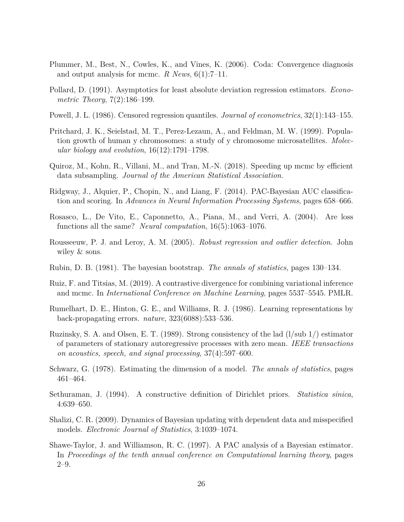- <span id="page-25-15"></span>Plummer, M., Best, N., Cowles, K., and Vines, K. (2006). Coda: Convergence diagnosis and output analysis for mcmc. *R News*, 6(1):7–11.
- <span id="page-25-10"></span>Pollard, D. (1991). Asymptotics for least absolute deviation regression estimators. *Econometric Theory*, 7(2):186–199.
- <span id="page-25-0"></span>Powell, J. L. (1986). Censored regression quantiles. *Journal of econometrics*, 32(1):143–155.
- <span id="page-25-6"></span>Pritchard, J. K., Seielstad, M. T., Perez-Lezaun, A., and Feldman, M. W. (1999). Population growth of human y chromosomes: a study of y chromosome microsatellites. *Molecular biology and evolution*, 16(12):1791–1798.
- <span id="page-25-1"></span>Quiroz, M., Kohn, R., Villani, M., and Tran, M.-N. (2018). Speeding up mcmc by efficient data subsampling. *Journal of the American Statistical Association*.
- <span id="page-25-4"></span>Ridgway, J., Alquier, P., Chopin, N., and Liang, F. (2014). PAC-Bayesian AUC classification and scoring. In *Advances in Neural Information Processing Systems*, pages 658–666.
- <span id="page-25-11"></span>Rosasco, L., De Vito, E., Caponnetto, A., Piana, M., and Verri, A. (2004). Are loss functions all the same? *Neural computation*, 16(5):1063–1076.
- <span id="page-25-13"></span>Rousseeuw, P. J. and Leroy, A. M. (2005). *Robust regression and outlier detection*. John wiley  $&$  sons.
- <span id="page-25-7"></span>Rubin, D. B. (1981). The bayesian bootstrap. *The annals of statistics*, pages 130–134.
- <span id="page-25-2"></span>Ruiz, F. and Titsias, M. (2019). A contrastive divergence for combining variational inference and mcmc. In *International Conference on Machine Learning*, pages 5537–5545. PMLR.
- <span id="page-25-8"></span>Rumelhart, D. E., Hinton, G. E., and Williams, R. J. (1986). Learning representations by back-propagating errors. *nature*, 323(6088):533–536.
- <span id="page-25-14"></span>Ruzinsky, S. A. and Olsen, E. T. (1989). Strong consistency of the lad (l/sub 1/) estimator of parameters of stationary autoregressive processes with zero mean. *IEEE transactions on acoustics, speech, and signal processing*, 37(4):597–600.
- <span id="page-25-12"></span>Schwarz, G. (1978). Estimating the dimension of a model. *The annals of statistics*, pages 461–464.
- <span id="page-25-5"></span>Sethuraman, J. (1994). A constructive definition of Dirichlet priors. *Statistica sinica*, 4:639–650.
- <span id="page-25-9"></span>Shalizi, C. R. (2009). Dynamics of Bayesian updating with dependent data and misspecified models. *Electronic Journal of Statistics*, 3:1039–1074.
- <span id="page-25-3"></span>Shawe-Taylor, J. and Williamson, R. C. (1997). A PAC analysis of a Bayesian estimator. In *Proceedings of the tenth annual conference on Computational learning theory*, pages 2–9.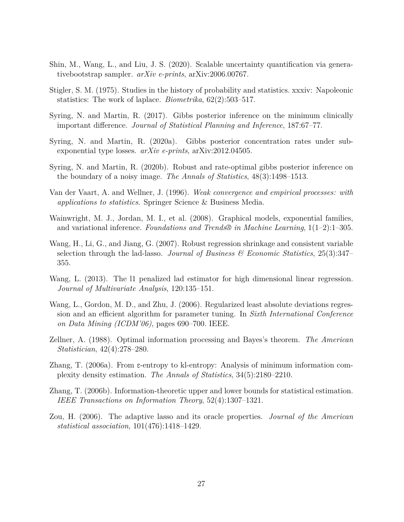- <span id="page-26-6"></span>Shin, M., Wang, L., and Liu, J. S. (2020). Scalable uncertainty quantification via generativebootstrap sampler. *arXiv e-prints*, arXiv:2006.00767.
- <span id="page-26-7"></span>Stigler, S. M. (1975). Studies in the history of probability and statistics. xxxiv: Napoleonic statistics: The work of laplace. *Biometrika*, 62(2):503–517.
- <span id="page-26-0"></span>Syring, N. and Martin, R. (2017). Gibbs posterior inference on the minimum clinically important difference. *Journal of Statistical Planning and Inference*, 187:67–77.
- <span id="page-26-8"></span>Syring, N. and Martin, R. (2020a). Gibbs posterior concentration rates under subexponential type losses. *arXiv e-prints*, arXiv:2012.04505.
- <span id="page-26-1"></span>Syring, N. and Martin, R. (2020b). Robust and rate-optimal gibbs posterior inference on the boundary of a noisy image. *The Annals of Statistics*, 48(3):1498–1513.
- <span id="page-26-9"></span>Van der Vaart, A. and Wellner, J. (1996). *Weak convergence and empirical processes: with applications to statistics*. Springer Science & Business Media.
- <span id="page-26-5"></span>Wainwright, M. J., Jordan, M. I., et al. (2008). Graphical models, exponential families, and variational inference. *Foundations and Trends® in Machine Learning*, 1(1–2):1–305.
- <span id="page-26-10"></span>Wang, H., Li, G., and Jiang, G. (2007). Robust regression shrinkage and consistent variable selection through the lad-lasso. *Journal of Business & Economic Statistics*, 25(3):347– 355.
- <span id="page-26-11"></span>Wang, L. (2013). The l1 penalized lad estimator for high dimensional linear regression. *Journal of Multivariate Analysis*, 120:135–151.
- <span id="page-26-12"></span>Wang, L., Gordon, M. D., and Zhu, J. (2006). Regularized least absolute deviations regression and an efficient algorithm for parameter tuning. In *Sixth International Conference on Data Mining (ICDM'06)*, pages 690–700. IEEE.
- <span id="page-26-4"></span>Zellner, A. (1988). Optimal information processing and Bayes's theorem. *The American Statistician*, 42(4):278–280.
- <span id="page-26-2"></span>Zhang, T. (2006a). From ε-entropy to kl-entropy: Analysis of minimum information complexity density estimation. *The Annals of Statistics*, 34(5):2180–2210.
- <span id="page-26-3"></span>Zhang, T. (2006b). Information-theoretic upper and lower bounds for statistical estimation. *IEEE Transactions on Information Theory*, 52(4):1307–1321.
- <span id="page-26-13"></span>Zou, H. (2006). The adaptive lasso and its oracle properties. *Journal of the American statistical association*, 101(476):1418–1429.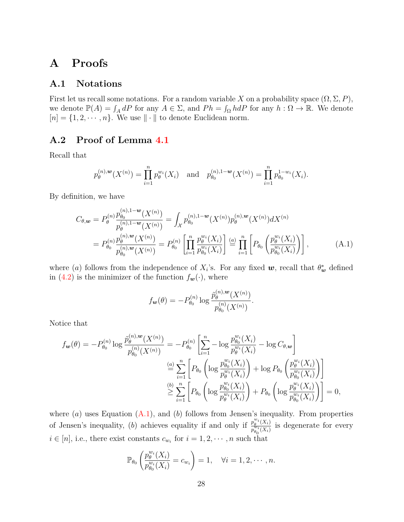## **A Proofs**

### **A.1 Notations**

First let us recall some notations. For a random variable *X* on a probability space  $(\Omega, \Sigma, P)$ , we denote  $\mathbb{P}(A) = \int_A dP$  for any  $A \in \Sigma$ , and  $Ph = \int_{\Omega} hdP$  for any  $h : \Omega \to \mathbb{R}$ . We denote  $[n] = \{1, 2, \dots, n\}$ . We use  $\|\cdot\|$  to denote Euclidean norm.

### <span id="page-27-0"></span>**A.2 Proof of Lemma [4.1](#page-12-1)**

Recall that

$$
p_{\theta}^{(n),\mathbf{w}}(X^{(n)}) = \prod_{i=1}^{n} p_{\theta}^{w_i}(X_i) \quad \text{and} \quad p_{\theta_0}^{(n),1-\mathbf{w}}(X^{(n)}) = \prod_{i=1}^{n} p_{\theta_0}^{1-w_i}(X_i).
$$

By definition, we have

$$
C_{\theta,\mathbf{w}} = P_{\theta}^{(n)} \frac{p_{\theta_0}^{(n),1-\mathbf{w}}(X^{(n)})}{p_{\theta}^{(n),1-\mathbf{w}}(X^{(n)})} = \int_{\mathcal{X}} p_{\theta_0}^{(n),1-\mathbf{w}}(X^{(n)}) p_{\theta}^{(n),\mathbf{w}}(X^{(n)}) dX^{(n)}
$$
  
= 
$$
P_{\theta_0}^{(n)} \frac{p_{\theta}^{(n),\mathbf{w}}(X^{(n)})}{p_{\theta_0}^{(n),\mathbf{w}}(X^{(n)})} = P_{\theta_0}^{(n)} \left[ \prod_{i=1}^n \frac{p_{\theta}^{w_i}(X_i)}{p_{\theta_0}^{w_i}(X_i)} \right] \stackrel{(a)}{=} \prod_{i=1}^n \left[ P_{\theta_0} \left( \frac{p_{\theta}^{w_i}(X_i)}{p_{\theta_0}^{w_i}(X_i)} \right) \right],
$$
 (A.1)

where (*a*) follows from the independence of  $X_i$ 's. For any fixed  $w$ , recall that  $\theta_w^*$  defined in [\(4.2\)](#page-11-0) is the minimizer of the function  $f_{\mathbf{w}}(\cdot)$ , where

<span id="page-27-1"></span>
$$
f_{\mathbf{w}}(\theta) = -P_{\theta_0}^{(n)} \log \frac{\tilde{p}_{\theta}^{(n),\mathbf{w}}(X^{(n)})}{p_{\theta_0}^{(n)}(X^{(n)})}.
$$

Notice that

$$
f_{\mathbf{w}}(\theta) = -P_{\theta_0}^{(n)} \log \frac{\tilde{p}_{\theta}^{(n),\mathbf{w}}(X^{(n)})}{p_{\theta_0}^{(n)}(X^{(n)})} = -P_{\theta_0}^{(n)} \left[ \sum_{i=1}^n -\log \frac{p_{\theta_0}^{w_i}(X_i)}{p_{\theta}^{w_i}(X_i)} - \log C_{\theta,\mathbf{w}} \right]
$$

$$
\stackrel{(a)}{=} \sum_{i=1}^n \left[ P_{\theta_0} \left( \log \frac{p_{\theta_0}^{w_i}(X_i)}{p_{\theta}^{w_i}(X_i)} \right) + \log P_{\theta_0} \left( \frac{p_{\theta}^{w_i}(X_i)}{p_{\theta_0}^{w_i}(X_i)} \right) \right]
$$

$$
\stackrel{(b)}{\geq} \sum_{i=1}^n \left[ P_{\theta_0} \left( \log \frac{p_{\theta_0}^{w_i}(X_i)}{p_{\theta}^{w_i}(X_i)} \right) + P_{\theta_0} \left( \log \frac{p_{\theta}^{w_i}(X_i)}{p_{\theta_0}^{w_i}(X_i)} \right) \right] = 0,
$$

where (*a*) uses Equation [\(A.1\)](#page-27-1), and (*b*) follows from Jensen's inequality. From properties of Jensen's inequality, (*b*) achieves equality if and only if  $\frac{p_{\theta}^{w_i}(X_i)}{z^{\theta_i}(Y_i)}$  $p_{\theta}^{w_i(X_i)}$  is degenerate for every  $i \in [n]$ , i.e., there exist constants  $c_{w_i}$  for  $i = 1, 2, \dots, n$  such that

$$
\mathbb{P}_{\theta_0}\left(\frac{p_{\theta}^{w_i}(X_i)}{p_{\theta_0}^{w_i}(X_i)}=c_{w_i}\right)=1, \quad \forall i=1,2,\cdots,n.
$$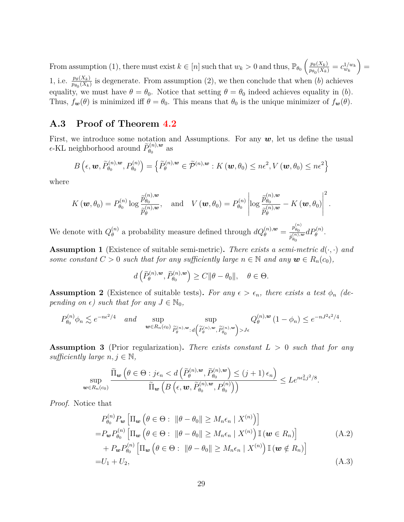From assumption (1), there must exist  $k \in [n]$  such that  $w_k > 0$  and thus,  $\mathbb{P}_{\theta_0} \left( \frac{p_{\theta}(X_k)}{p_{\theta_k}(X_k)} \right)$  $\frac{p_{\theta}(X_k)}{p_{\theta_0}(X_k)} = c_{w_k}^{1/w_k}$  $=$ 1, i.e.  $\frac{p_{\theta}(X_k)}{p_{\theta_0}(X_k)}$  is degenerate. From assumption (2), we then conclude that when (*b*) achieves equality, we must have  $\theta = \theta_0$ . Notice that setting  $\theta = \theta_0$  indeed achieves equality in (*b*). Thus,  $f_{\mathbf{w}}(\theta)$  is minimized iff  $\theta = \theta_0$ . This means that  $\theta_0$  is the unique minimizer of  $f_{\mathbf{w}}(\theta)$ .

### <span id="page-28-3"></span>**A.3 Proof of Theorem [4.2](#page-12-0)**

First, we introduce some notation and Assumptions. For any  $w$ , let us define the usual  $\epsilon$ -KL neighborhood around  $\widetilde{P}_{\theta_0}^{(n),\boldsymbol{w}}$  $\theta_0^{(n),\boldsymbol{w}}$  as

$$
B\left(\epsilon, \mathbf{w}, \widetilde{P}_{\theta_0}^{(n), \mathbf{w}}, P_{\theta_0}^{(n)}\right) = \left\{\widetilde{P}_{\theta}^{(n), \mathbf{w}} \in \widetilde{\mathcal{P}}^{(n), \mathbf{w}} : K(\mathbf{w}, \theta_0) \leq n\epsilon^2, V(\mathbf{w}, \theta_0) \leq n\epsilon^2\right\}
$$

where

$$
K(\boldsymbol{w},\theta_0)=P_{\theta_0}^{(n)}\log\frac{\widetilde{p}_{\theta_0}^{(n),\boldsymbol{w}}}{\widetilde{p}_{\theta}^{(n),\boldsymbol{w}}},\quad\text{and}\quad V(\boldsymbol{w},\theta_0)=P_{\theta_0}^{(n)}\left|\log\frac{\widetilde{p}_{\theta_0}^{(n),\boldsymbol{w}}}{\widetilde{p}_{\theta}^{(n),\boldsymbol{w}}}-K(\boldsymbol{w},\theta_0)\right|^2.
$$

We denote with  $Q_{\theta}^{(n)}$ *d*<sup>(*n*)</sup>)</sub> a probability measure defined through  $dQ_{\theta}^{(n),w} = \frac{p_{\theta_0}^{(n)}}{\hat{p}_0^{(n),w}}$  $\tilde{p}^{(n),\bm{w}}_{\theta_0}$  $dP_{\theta}^{(n)}$ .

<span id="page-28-0"></span>**Assumption 1** (Existence of suitable semi-metric). There exists a semi-metric  $d(\cdot, \cdot)$  and *some constant*  $C > 0$  *such that for any sufficiently large*  $n \in \mathbb{N}$  *and any*  $\mathbf{w} \in R_n(c_0)$ *,* 

$$
d\left(\widetilde{P}_{\theta}^{(n),\mathbf{w}},\widetilde{P}_{\theta_0}^{(n),\mathbf{w}}\right)\geq C\|\theta-\theta_0\|,\quad\theta\in\Theta.
$$

<span id="page-28-1"></span>**Assumption 2** (Existence of suitable tests). For any  $\epsilon > \epsilon_n$ , there exists a test  $\phi_n$  (de*pending on*  $\epsilon$ *) such that for any*  $J \in \mathbb{N}_0$ *,* 

$$
P_{\theta_0}^{(n)} \phi_n \lesssim e^{-n\epsilon^2/4} \quad \text{and} \quad \sup_{\mathbf{w} \in R_n(c_0)} \sup_{\widetilde{P}_{\theta}^{(n),\mathbf{w}} : d\left(\widetilde{P}_{\theta}^{(n),\mathbf{w}}, \widetilde{P}_{\theta_0}^{(n),\mathbf{w}}\right) > J\epsilon} Q_{\theta}^{(n),\mathbf{w}} \left(1 - \phi_n\right) \le e^{-nJ^2 \epsilon^2/4}.
$$

<span id="page-28-2"></span>**Assumption 3** (Prior regularization)**.** *There exists constant L >* 0 *such that for any sufficiently large*  $n, j \in \mathbb{N}$ ,

$$
\sup_{\mathbf{w}\in R_n(c_0)}\frac{\widetilde{\Pi}_{\mathbf{w}}\left(\theta\in\Theta:j\epsilon_n\lt d\left(\widetilde{P}_{\theta}^{(n),\mathbf{w}},\widetilde{P}_{\theta_0}^{(n),\mathbf{w}}\right)\leq (j+1)\,\epsilon_n\right)}{\widetilde{\Pi}_{\mathbf{w}}\left(B\left(\epsilon,\mathbf{w},\widetilde{P}_{\theta_0}^{(n),\mathbf{w}},P_{\theta_0}^{(n)}\right)\right)}\leq Le^{n\epsilon_n^2j^2/8}.
$$

*Proof.* Notice that

<span id="page-28-4"></span>
$$
P_{\theta_0}^{(n)} P_{\mathbf{w}} \left[ \Pi_{\mathbf{w}} \left( \theta \in \Theta : \|\theta - \theta_0\| \ge M_n \epsilon_n \mid X^{(n)} \right) \right]
$$
  
\n
$$
= P_{\mathbf{w}} P_{\theta_0}^{(n)} \left[ \Pi_{\mathbf{w}} \left( \theta \in \Theta : \|\theta - \theta_0\| \ge M_n \epsilon_n \mid X^{(n)} \right) \mathbb{I} \left( \mathbf{w} \in R_n \right) \right]
$$
  
\n
$$
+ P_{\mathbf{w}} P_{\theta_0}^{(n)} \left[ \Pi_{\mathbf{w}} \left( \theta \in \Theta : \|\theta - \theta_0\| \ge M_n \epsilon_n \mid X^{(n)} \right) \mathbb{I} \left( \mathbf{w} \notin R_n \right) \right]
$$
  
\n
$$
= U_1 + U_2,
$$
\n(A.3)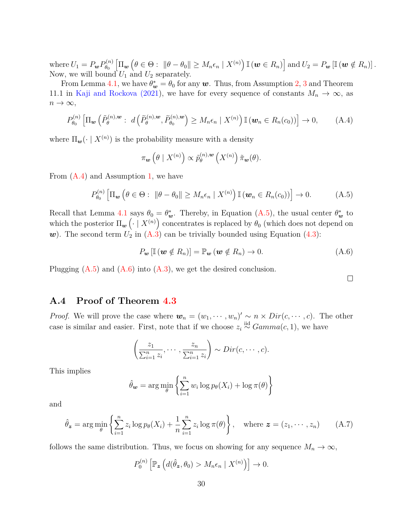where  $U_1 = P_{\bm{w}} P_{\theta_0}^{(n)}$  $\left[\Pi_{\bm{w}}\left(\theta \in \Theta: \ \|\theta - \theta_0\| \geq M_n\epsilon_n \mid X^{(n)}\right) \mathbb{I}\left(\bm{w} \in R_n\right)\right] \text{and } U_2 = P_{\bm{w}}\left[\mathbb{I}\left(\bm{w} \notin R_n\right)\right].$ Now, we will bound  $U_1$  and  $U_2$  separately.

From Lemma [4.1,](#page-12-1) we have  $\theta_{\mathbf{w}}^* = \theta_0$  for any  $\mathbf{w}$ . Thus, from Assumption [2,](#page-28-1) [3](#page-28-2) and Theorem 11.1 in [Kaji and Rockova \(2021\)](#page-23-11), we have for every sequence of constants  $M_n \to \infty$ , as  $n \to \infty$ ,

<span id="page-29-1"></span>
$$
P_{\theta_0}^{(n)}\left[\Pi_{\boldsymbol{w}}\left(\tilde{P}_{\theta}^{(n),\boldsymbol{w}}:\ d\left(\tilde{P}_{\theta}^{(n),\boldsymbol{w}},\tilde{P}_{\theta_0}^{(n),\boldsymbol{w}}\right)\geq M_n\epsilon_n\mid X^{(n)}\right)\mathbb{I}\left(\boldsymbol{w}_n\in R_n(c_0)\right)\right]\to 0,\tag{A.4}
$$

where  $\Pi_{\mathbf{w}}(\cdot \mid X^{(n)})$  is the probability measure with a density

$$
\pi_{\mathbf{w}}\left(\theta \mid X^{(n)}\right) \propto \widetilde{p}_{\theta}^{(n),\mathbf{w}}\left(X^{(n)}\right)\widetilde{\pi}_{\mathbf{w}}(\theta).
$$

From [\(A.4\)](#page-29-1) and Assumption [1,](#page-28-0) we have

<span id="page-29-2"></span>
$$
P_{\theta_0}^{(n)}\left[\Pi_{\boldsymbol{w}}\left(\theta\in\Theta:\ \|\theta-\theta_0\|\geq M_n\epsilon_n\mid X^{(n)}\right)\mathbb{I}\left(\boldsymbol{w}_n\in R_n(c_0)\right)\right]\to 0.\tag{A.5}
$$

Recall that Lemma [4.1](#page-12-1) says  $\theta_0 = \theta_w^*$ . Thereby, in Equation [\(A.5\)](#page-29-2), the usual center  $\theta_w^*$  to which the posterior  $\Pi_{\bm{w}}\left(\cdot \mid X^{(n)}\right)$  concentrates is replaced by  $\theta_0$  (which does not depend on w). The second term  $U_2$  in  $(A.3)$  can be trivially bounded using Equation  $(4.3)$ :

<span id="page-29-3"></span>
$$
P_{\mathbf{w}}\left[\mathbb{I}\left(\mathbf{w} \notin R_{n}\right)\right] = \mathbb{P}_{\mathbf{w}}\left(\mathbf{w} \notin R_{n}\right) \to 0. \tag{A.6}
$$

Plugging  $(A.5)$  and  $(A.6)$  into  $(A.3)$ , we get the desired conclusion.

 $\Box$ 

#### <span id="page-29-0"></span>**A.4 Proof of Theorem [4.3](#page-13-0)**

*Proof.* We will prove the case where  $w_n = (w_1, \dots, w_n)' \sim n \times Dir(c, \dots, c)$ . The other case is similar and easier. First, note that if we choose  $z_i \stackrel{\text{iid}}{\sim} Gamma(c, 1)$ , we have

$$
\left(\frac{z_1}{\sum_{i=1}^n z_i}, \cdots, \frac{z_n}{\sum_{i=1}^n z_i}\right) \sim Dir(c, \cdots, c).
$$

This implies

$$
\hat{\theta}_{\mathbf{w}} = \arg\min_{\theta} \left\{ \sum_{i=1}^{n} w_i \log p_{\theta}(X_i) + \log \pi(\theta) \right\}
$$

and

<span id="page-29-4"></span>
$$
\hat{\theta}_{\boldsymbol{z}} = \arg \min_{\theta} \left\{ \sum_{i=1}^{n} z_i \log p_{\theta}(X_i) + \frac{1}{n} \sum_{i=1}^{n} z_i \log \pi(\theta) \right\}, \quad \text{where } \boldsymbol{z} = (z_1, \dots, z_n) \tag{A.7}
$$

follows the same distribution. Thus, we focus on showing for any sequence  $M_n \to \infty$ ,

$$
P_0^{(n)}\left[\mathbb{P}_{\boldsymbol{z}}\left(d(\hat{\theta}_{\boldsymbol{z}},\theta_0) > M_n\epsilon_n \mid X^{(n)}\right)\right] \to 0.
$$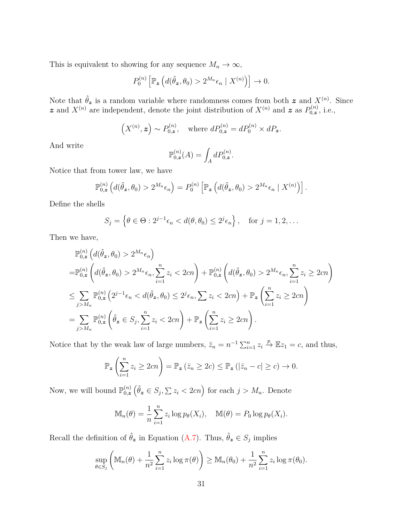This is equivalent to showing for any sequence  $M_n \to \infty$ ,

$$
P_0^{(n)}\left[\mathbb{P}_{\boldsymbol{z}}\left(d(\hat{\theta}_{\boldsymbol{z}},\theta_0)>2^{M_n}\epsilon_n\mid X^{(n)}\right)\right]\to 0.
$$

Note that  $\hat{\theta}_z$  is a random variable where randomness comes from both  $z$  and  $X^{(n)}$ . Since z and  $X^{(n)}$  are independent, denote the joint distribution of  $X^{(n)}$  and z as  $P^{(n)}_{0,z}$  $b_{0,\mathbf{z}}^{(n)}$ , i.e.,

$$
(X^{(n)}, z) \sim P_{0,z}^{(n)}, \text{ where } dP_{0,z}^{(n)} = dP_0^{(n)} \times dP_z.
$$

And write

$$
\mathbb{P}_{0,z}^{(n)}(A) = \int_A dP_{0,z}^{(n)}.
$$

Notice that from tower law, we have

$$
\mathbb{P}_{0,z}^{(n)}\left(d(\hat{\theta}_{\boldsymbol{z}},\theta_0)>2^{M_n}\epsilon_n\right)=P_0^{(n)}\left[\mathbb{P}_{\boldsymbol{z}}\left(d(\hat{\theta}_{\boldsymbol{z}},\theta_0)>2^{M_n}\epsilon_n\mid X^{(n)}\right)\right].
$$

Define the shells

$$
S_j = \left\{ \theta \in \Theta : 2^{j-1} \epsilon_n < d(\theta, \theta_0) \le 2^j \epsilon_n \right\}, \quad \text{for } j = 1, 2, \dots
$$

Then we have,

$$
\mathbb{P}_{0,z}^{(n)}(d(\hat{\theta}_{z},\theta_{0}) > 2^{M_{n}}\epsilon_{n})
$$
\n
$$
= \mathbb{P}_{0,z}^{(n)}(d(\hat{\theta}_{z},\theta_{0}) > 2^{M_{n}}\epsilon_{n}, \sum_{i=1}^{n} z_{i} < 2cn) + \mathbb{P}_{0,z}^{(n)}(d(\hat{\theta}_{z},\theta_{0}) > 2^{M_{n}}\epsilon_{n}, \sum_{i=1}^{n} z_{i} \ge 2cn)
$$
\n
$$
\le \sum_{j>M_{n}} \mathbb{P}_{0,z}^{(n)}(2^{j-1}\epsilon_{n} < d(\hat{\theta}_{z},\theta_{0}) \le 2^{j}\epsilon_{n}, \sum z_{i} < 2cn) + \mathbb{P}_{z}\left(\sum_{i=1}^{n} z_{i} \ge 2cn\right)
$$
\n
$$
= \sum_{j>M_{n}} \mathbb{P}_{0,z}^{(n)}(\hat{\theta}_{z} \in S_{j}, \sum_{i=1}^{n} z_{i} < 2cn) + \mathbb{P}_{z}\left(\sum_{i=1}^{n} z_{i} \ge 2cn\right).
$$

Notice that by the weak law of large numbers,  $\bar{z}_n = n^{-1} \sum_{i=1}^n z_i \stackrel{p}{\to} \mathbb{E}z_1 = c$ , and thus,

$$
\mathbb{P}_{\mathbf{z}}\left(\sum_{i=1}^{n}z_{i}\geq2cn\right)=\mathbb{P}_{\mathbf{z}}\left(\bar{z}_{n}\geq2c\right)\leq\mathbb{P}_{\mathbf{z}}\left(|\bar{z}_{n}-c|\geq c\right)\to0.
$$

Now, we will bound  $\mathbb{P}_{0,z}^{(n)}$  $\binom{n}{0,z}$   $(\hat{\theta}_z \in S_j, \sum z_i < 2cn)$  for each  $j > M_n$ . Denote

$$
\mathbb{M}_n(\theta) = \frac{1}{n} \sum_{i=1}^n z_i \log p_\theta(X_i), \quad \mathbb{M}(\theta) = P_0 \log p_\theta(X_i).
$$

Recall the definition of  $\hat{\theta}_z$  in Equation [\(A.7\)](#page-29-4). Thus,  $\hat{\theta}_z \in S_j$  implies

$$
\sup_{\theta \in S_j} \left( \mathbb{M}_n(\theta) + \frac{1}{n^2} \sum_{i=1}^n z_i \log \pi(\theta) \right) \geq \mathbb{M}_n(\theta_0) + \frac{1}{n^2} \sum_{i=1}^n z_i \log \pi(\theta_0).
$$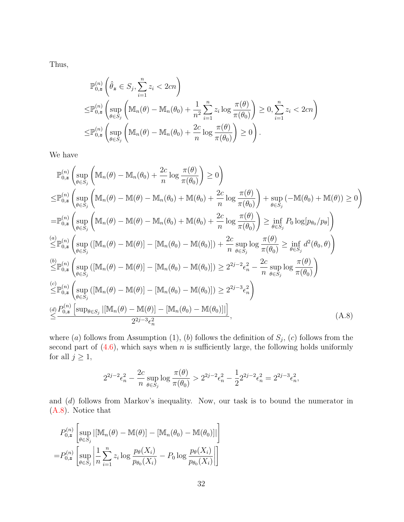Thus,

$$
\mathbb{P}_{0,z}^{(n)}\left(\hat{\theta}_{\mathbf{z}} \in S_j, \sum_{i=1}^n z_i < 2cn\right)
$$
\n
$$
\leq \mathbb{P}_{0,\mathbf{z}}^{(n)}\left(\sup_{\theta \in S_j} \left(\mathbb{M}_n(\theta) - \mathbb{M}_n(\theta_0) + \frac{1}{n^2} \sum_{i=1}^n z_i \log \frac{\pi(\theta)}{\pi(\theta_0)}\right) \geq 0, \sum_{i=1}^n z_i < 2cn\right)
$$
\n
$$
\leq \mathbb{P}_{0,\mathbf{z}}^{(n)}\left(\sup_{\theta \in S_j} \left(\mathbb{M}_n(\theta) - \mathbb{M}_n(\theta_0) + \frac{2c}{n} \log \frac{\pi(\theta)}{\pi(\theta_0)}\right) \geq 0\right).
$$

We have

$$
\mathbb{P}_{0,z}^{(n)}\left(\sup_{\theta\in S_j}\left(\mathbb{M}_n(\theta)-\mathbb{M}_n(\theta_0)+\frac{2c}{n}\log\frac{\pi(\theta)}{\pi(\theta_0)}\right)\geq 0\right)
$$
\n
$$
\leq\mathbb{P}_{0,z}^{(n)}\left(\sup_{\theta\in S_j}\left(\mathbb{M}_n(\theta)-\mathbb{M}(\theta)-\mathbb{M}_n(\theta_0)+\mathbb{M}(\theta_0)+\frac{2c}{n}\log\frac{\pi(\theta)}{\pi(\theta_0)}\right)+\sup_{\theta\in S_j}\left(-\mathbb{M}(\theta_0)+\mathbb{M}(\theta)\right)\geq 0\right)
$$
\n
$$
=\mathbb{P}_{0,z}^{(n)}\left(\sup_{\theta\in S_j}\left(\mathbb{M}_n(\theta)-\mathbb{M}(\theta)-\mathbb{M}_n(\theta_0)+\mathbb{M}(\theta_0)+\frac{2c}{n}\log\frac{\pi(\theta)}{\pi(\theta_0)}\right)\geq \inf_{\theta\in S_j}P_0\log[p_{\theta_0}/p_{\theta}]\right)
$$
\n
$$
\leq\mathbb{P}_{0,z}^{(n)}\left(\sup_{\theta\in S_j}\left(\mathbb{M}_n(\theta)-\mathbb{M}(\theta)\right)-\left[\mathbb{M}_n(\theta_0)-\mathbb{M}(\theta_0)\right]\right)+\frac{2c}{n}\sup_{\theta\in S_j}\log\frac{\pi(\theta)}{\pi(\theta_0)}\geq \inf_{\theta\in S_j}d^2(\theta_0,\theta)\right)
$$
\n
$$
\leq\mathbb{P}_{0,z}^{(n)}\left(\sup_{\theta\in S_j}\left(\mathbb{M}_n(\theta)-\mathbb{M}(\theta)\right)-\left[\mathbb{M}_n(\theta_0)-\mathbb{M}(\theta_0)\right]\right)\geq 2^{2j-2}\epsilon_n^2-\frac{2c}{n}\sup_{\theta\in S_j}\log\frac{\pi(\theta)}{\pi(\theta_0)}\right)
$$
\n
$$
\leq\mathbb{P}_{0,z}^{(n)}\left(\sup_{\theta\in S_j}\left(\mathbb{M}_n(\theta)-\mathbb{M}(\theta)\right)-\left[\mathbb{M}_n(\theta_0)-\mathbb{M}(\theta_0)\right]\right)\geq 2^{2j-3}\epsilon_n^2\right)
$$
\n
$$
\leq\frac{
$$

where  $(a)$  follows from Assumption  $(1)$ ,  $(b)$  follows the definition of  $S_j$ ,  $(c)$  follows from the second part of  $(4.6)$ , which says when *n* is sufficiently large, the following holds uniformly for all  $j \geq 1$ ,

<span id="page-31-0"></span>
$$
2^{2j-2}\epsilon_n^2 - \frac{2c}{n} \sup_{\theta \in S_j} \log \frac{\pi(\theta)}{\pi(\theta_0)} > 2^{2j-2}\epsilon_n^2 - \frac{1}{2}2^{2j-2}\epsilon_n^2 = 2^{2j-3}\epsilon_n^2,
$$

and (*d*) follows from Markov's inequality. Now, our task is to bound the numerator in [\(A.8\)](#page-31-0). Notice that

$$
P_{0,z}^{(n)}\left[\sup_{\theta\in S_j} |[\mathbb{M}_n(\theta) - \mathbb{M}(\theta)] - [\mathbb{M}_n(\theta_0) - \mathbb{M}(\theta_0)]|\right]
$$
  
= 
$$
P_{0,z}^{(n)}\left[\sup_{\theta\in S_j} \left|\frac{1}{n}\sum_{i=1}^n z_i \log \frac{p_\theta(X_i)}{p_{\theta_0}(X_i)} - P_0 \log \frac{p_\theta(X_i)}{p_{\theta_0}(X_i)}\right|\right]
$$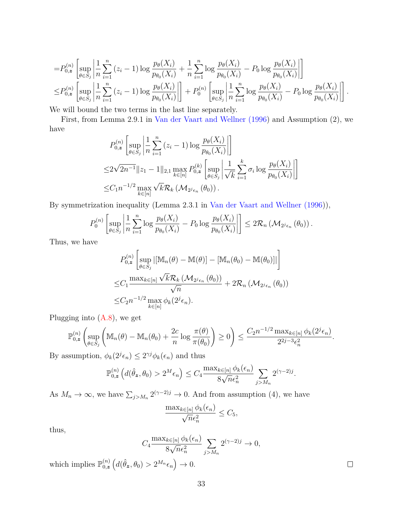$$
=P_{0,z}^{(n)}\left[\sup_{\theta\in S_j}\left|\frac{1}{n}\sum_{i=1}^n\left(z_i-1\right)\log\frac{p_{\theta}(X_i)}{p_{\theta_0}(X_i)}+\frac{1}{n}\sum_{i=1}^n\log\frac{p_{\theta}(X_i)}{p_{\theta_0}(X_i)}-P_0\log\frac{p_{\theta}(X_i)}{p_{\theta_0}(X_i)}\right|\right]
$$
  

$$
\leq P_{0,z}^{(n)}\left[\sup_{\theta\in S_j}\left|\frac{1}{n}\sum_{i=1}^n\left(z_i-1\right)\log\frac{p_{\theta}(X_i)}{p_{\theta_0}(X_i)}\right|\right]+P_0^{(n)}\left[\sup_{\theta\in S_j}\left|\frac{1}{n}\sum_{i=1}^n\log\frac{p_{\theta}(X_i)}{p_{\theta_0}(X_i)}-P_0\log\frac{p_{\theta}(X_i)}{p_{\theta_0}(X_i)}\right|\right].
$$

We will bound the two terms in the last line separately.

First, from Lemma 2.9.1 in [Van der Vaart and Wellner \(1996\)](#page-26-9) and Assumption (2), we have

$$
P_{0,z}^{(n)}\left[\sup_{\theta\in S_j}\left|\frac{1}{n}\sum_{i=1}^n(z_i-1)\log\frac{p_{\theta}(X_i)}{p_{\theta_0}(X_i)}\right|\right]
$$
  

$$
\leq 2\sqrt{2n^{-1}}\|z_1-1\|_{2,1}\max_{k\in[n]}P_{0,z}^{(k)}\left[\sup_{\theta\in S_j}\left|\frac{1}{\sqrt{k}}\sum_{i=1}^k\sigma_i\log\frac{p_{\theta}(X_i)}{p_{\theta_0}(X_i)}\right|\right]
$$
  

$$
\leq C_1n^{-1/2}\max_{k\in[n]} \sqrt{k}\mathcal{R}_k\left(\mathcal{M}_{2^j\epsilon_n}(\theta_0)\right).
$$

By symmetrization inequality (Lemma 2.3.1 in [Van der Vaart and Wellner \(1996\)](#page-26-9)),

$$
P_0^{(n)}\left[\sup_{\theta\in S_j}\left|\frac{1}{n}\sum_{i=1}^n\log\frac{p_\theta(X_i)}{p_{\theta_0}(X_i)}-P_0\log\frac{p_\theta(X_i)}{p_{\theta_0}(X_i)}\right|\right]\leq 2\mathcal{R}_n\left(\mathcal{M}_{2^j\epsilon_n}\left(\theta_0\right)\right).
$$

Thus, we have

$$
P_{0,z}^{(n)}\left[\sup_{\theta\in S_j} |[\mathbb{M}_n(\theta) - \mathbb{M}(\theta)] - [\mathbb{M}_n(\theta_0) - \mathbb{M}(\theta_0)]|\right]
$$
  

$$
\leq C_1 \frac{\max_{k\in[n]} \sqrt{k} \mathcal{R}_k (\mathcal{M}_{2^j \epsilon_n}(\theta_0))}{\sqrt{n}} + 2\mathcal{R}_n (\mathcal{M}_{2^j \epsilon_n}(\theta_0))
$$
  

$$
\leq C_2 n^{-1/2} \max_{k\in[n]} \phi_k(2^j \epsilon_n).
$$

Plugging into  $(A.8)$ , we get

$$
\mathbb{P}_{0,z}^{(n)}\left(\sup_{\theta\in S_j}\left(\mathbb{M}_n(\theta)-\mathbb{M}_n(\theta_0)+\frac{2c}{n}\log\frac{\pi(\theta)}{\pi(\theta_0)}\right)\geq 0\right)\leq \frac{C_2n^{-1/2}\max_{k\in[n]}\phi_k(2^j\epsilon_n)}{2^{2j-3}\epsilon_n^2}.
$$

By assumption,  $\phi_k(2^j \epsilon_n) \leq 2^{\gamma j} \phi_k(\epsilon_n)$  and thus

$$
\mathbb{P}_{0,z}^{(n)}\left(d(\hat{\theta}_{\boldsymbol{z}},\theta_0) > 2^M \epsilon_n\right) \le C_4 \frac{\max_{k \in [n]} \phi_k(\epsilon_n)}{8\sqrt{n} \epsilon_n^2} \sum_{j > M_n} 2^{(\gamma - 2)j}.
$$

As  $M_n \to \infty$ , we have  $\sum_{j>M_n} 2^{(\gamma-2)j} \to 0$ . And from assumption (4), we have

$$
\frac{\max_{k\in[n]}\phi_k(\epsilon_n)}{\sqrt{n}\epsilon_n^2} \leq C_5,
$$

thus,

$$
C_4 \frac{\max_{k \in [n]} \phi_k(\epsilon_n)}{8\sqrt{n}\epsilon_n^2} \sum_{j>M_n} 2^{(\gamma-2)j} \to 0,
$$

which implies  $\mathbb{P}_{0,z}^{(n)}$  $\binom{n}{0, z} (d(\hat{\theta}_z, \theta_0) > 2^{M_n} \epsilon_n) \to 0.$ 

 $\Box$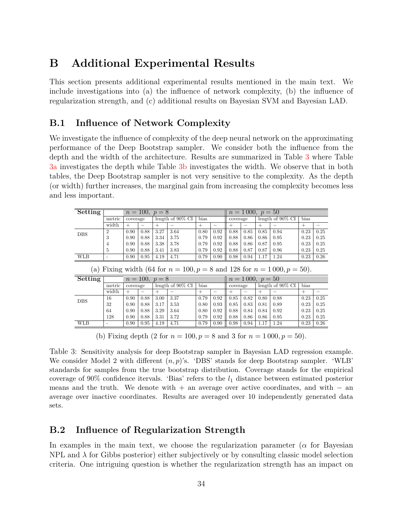# **B Additional Experimental Results**

This section presents additional experimental results mentioned in the main text. We include investigations into (a) the influence of network complexity, (b) the influence of regularization strength, and (c) additional results on Bayesian SVM and Bayesian LAD.

### <span id="page-33-0"></span>**B.1 Influence of Network Complexity**

We investigate the influence of complexity of the deep neural network on the approximating performance of the Deep Bootstrap sampler. We consider both the influence from the depth and the width of the architecture. Results are summarized in Table [3](#page-33-2) where Table [3a](#page-33-2) investigates the depth while Table [3b](#page-33-2) investigates the width. We observe that in both tables, the Deep Bootstrap sampler is not very sensitive to the complexity. As the depth (or width) further increases, the marginal gain from increasing the complexity becomes less and less important.

<span id="page-33-2"></span>

| Setting    |                                                                             | $n = 100, p = 8$                |      |                  |                     |          |      | $n = 1000, p = 50$ |                    |                     |      |        |      |  |
|------------|-----------------------------------------------------------------------------|---------------------------------|------|------------------|---------------------|----------|------|--------------------|--------------------|---------------------|------|--------|------|--|
|            | metric                                                                      | length of $90\%$ CI<br>coverage |      |                  | bias                | coverage |      |                    |                    | length of $90\%$ CI | bias |        |      |  |
|            | width                                                                       | $^{+}$                          | -    | $^{+}$           |                     | $^{+}$   |      | $\pm$              | -                  | $^{+}$              |      | $^{+}$ |      |  |
| <b>DBS</b> | $\overline{2}$                                                              | 0.90                            | 0.88 | 3.27             | 3.64                | 0.80     | 0.92 | 0.88               | 0.85               | 0.85                | 0.94 | 0.23   | 0.25 |  |
|            | 3                                                                           | 0.90                            | 0.88 | 3.34             | 3.75                | 0.79     | 0.92 | 0.88               | 0.86               | 0.86                | 0.95 | 0.23   | 0.25 |  |
|            | 4                                                                           | 0.90                            | 0.88 | 3.38             | 3.78                | 0.79     | 0.92 | 0.88               | 0.86               | 0.87                | 0.95 | 0.23   | 0.25 |  |
|            | 5                                                                           | 0.90                            | 0.88 | 3.41             | 3.83                | 0.79     | 0.92 | 0.88               | 0.87               | 0.87                | 0.96 | 0.23   | 0.25 |  |
| <b>WLB</b> |                                                                             | 0.90                            | 0.95 | 4.19             | 4.71                | 0.79     | 0.90 | 0.98               | 0.94               | 1.17                | 1.24 | 0.23   | 0.26 |  |
|            | (a) Fixing width (64 for $n = 100, p = 8$ and 128 for $n = 1000, p = 50$ ). |                                 |      |                  |                     |          |      |                    |                    |                     |      |        |      |  |
| Setting    |                                                                             |                                 |      | $n = 100, p = 8$ |                     |          |      |                    | $n = 1000, p = 50$ |                     |      |        |      |  |
|            | metric                                                                      | coverage                        |      |                  | length of $90\%$ CI | bias     |      | coverage           |                    | length of $90\%$ CI |      | bias   |      |  |
|            | width                                                                       | $^{+}$                          | -    | $^{+}$           |                     | $^{+}$   | -    | $^+$               | -                  | $^{+}$              |      | $^{+}$ |      |  |
| <b>DBS</b> | 16                                                                          | 0.90                            | 0.88 | 3.00             | 3.37                | 0.79     | 0.92 | 0.85               | 0.82               | 0.80                | 0.88 | 0.23   | 0.25 |  |
|            | 32                                                                          | 0.90                            | 0.88 | 3.17             | 3.53                | 0.80     | 0.93 | 0.85               | 0.83               | 0.81                | 0.89 | 0.23   | 0.25 |  |
|            | 64                                                                          | 0.90                            | 0.88 | 3.29             | 3.64                | 0.80     | 0.92 | 0.88               | 0.84               | 0.84                | 0.92 | 0.23   | 0.25 |  |
|            | 128                                                                         | 0.90                            | 0.88 | 3.31             | 3.72                | 0.79     | 0.92 | 0.88               | 0.86               | 0.86                | 0.95 | 0.23   | 0.25 |  |

WLB - 0.90 0.95 4.19 4.71 0.79 0.90 0.98 0.94 1.17 1.24 0.23 0.26 (b) Fixing depth  $(2 \text{ for } n = 100, p = 8 \text{ and } 3 \text{ for } n = 1000, p = 50)$ .

Table 3: Sensitivity analysis for deep Bootstrap sampler in Bayesian LAD regression example. We consider Model 2 with different  $(n, p)$ 's. 'DBS' stands for deep Bootstrap sampler. 'WLB' standards for samples from the true bootstrap distribution. Coverage stands for the empirical coverage of 90% confidence itervals. 'Bias' refers to the *l*<sup>1</sup> distance between estimated posterior means and the truth. We denote with  $+$  an average over active coordinates, and with  $-$  an average over inactive coordinates. Results are averaged over 10 independently generated data sets.

### <span id="page-33-1"></span>**B.2 Influence of Regularization Strength**

In examples in the main text, we choose the regularization parameter ( $\alpha$  for Bayesian NPL and  $\lambda$  for Gibbs posterior) either subjectively or by consulting classic model selection criteria. One intriguing question is whether the regularization strength has an impact on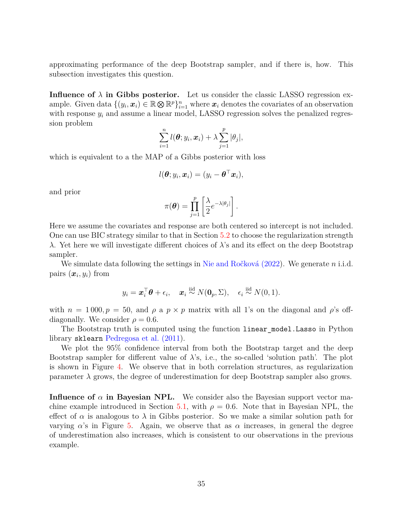approximating performance of the deep Bootstrap sampler, and if there is, how. This subsection investigates this question.

**Influence of**  $\lambda$  **in Gibbs posterior.** Let us consider the classic LASSO regression example. Given data  $\{(y_i, x_i) \in \mathbb{R} \otimes \mathbb{R}^p\}_{i=1}^n$  where  $x_i$  denotes the covariates of an observation with response  $y_i$  and assume a linear model, LASSO regression solves the penalized regression problem

$$
\sum_{i=1}^n l(\boldsymbol{\theta};y_i,\boldsymbol{x}_i)+\lambda \sum_{j=1}^p |\theta_j|,
$$

which is equivalent to a the MAP of a Gibbs posterior with loss

$$
l(\boldsymbol{\theta}; y_i, \boldsymbol{x}_i) = (y_i - \boldsymbol{\theta}^\top \boldsymbol{x}_i),
$$

and prior

$$
\pi(\boldsymbol{\theta}) = \prod_{j=1}^p \left[ \frac{\lambda}{2} e^{-\lambda |\theta_j|} \right].
$$

Here we assume the covariates and response are both centered so intercept is not included. One can use BIC strategy similar to that in Section [5.2](#page-17-0) to choose the regularization strength *λ*. Yet here we will investigate different choices of *λ*'s and its effect on the deep Bootstrap sampler.

We simulate data following the settings in [Nie and Ročková \(2022\)](#page-24-10). We generate *n* i.i.d. pairs  $(\boldsymbol{x}_i, y_i)$  from

$$
y_i = \boldsymbol{x}_i^{\top} \boldsymbol{\theta} + \epsilon_i, \quad \boldsymbol{x}_i \stackrel{\text{iid}}{\sim} N(\mathbf{0}_p, \Sigma), \quad \epsilon_i \stackrel{\text{iid}}{\sim} N(0, 1).
$$

with  $n = 1000, p = 50$ , and  $\rho$  a  $p \times p$  matrix with all 1's on the diagonal and  $\rho$ 's offdiagonally. We consider  $\rho = 0.6$ .

The Bootstrap truth is computed using the function linear\_model.Lasso in Python library sklearn [Pedregosa et al. \(2011\)](#page-24-14).

We plot the 95% confidence interval from both the Bootstrap target and the deep Bootstrap sampler for different value of  $\lambda$ 's, i.e., the so-called 'solution path'. The plot is shown in Figure [4.](#page-35-0) We observe that in both correlation structures, as regularization parameter  $\lambda$  grows, the degree of underestimation for deep Bootstrap sampler also grows.

**Influence of**  $\alpha$  **in Bayesian NPL.** We consider also the Bayesian support vector ma-chine example introduced in Section [5.1,](#page-14-0) with  $\rho = 0.6$ . Note that in Bayesian NPL, the effect of  $\alpha$  is analogous to  $\lambda$  in Gibbs posterior. So we make a similar solution path for varying  $\alpha$ 's in Figure [5.](#page-35-1) Again, we observe that as  $\alpha$  increases, in general the degree of underestimation also increases, which is consistent to our observations in the previous example.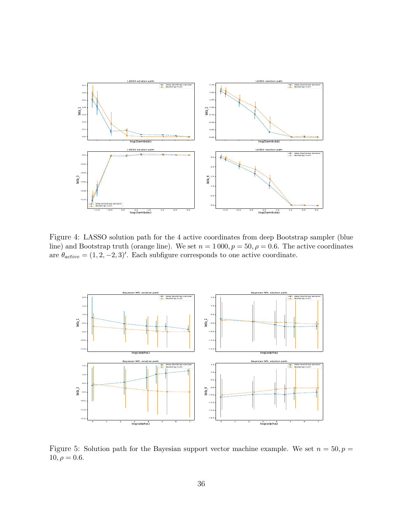<span id="page-35-0"></span>

Figure 4: LASSO solution path for the 4 active coordinates from deep Bootstrap sampler (blue line) and Bootstrap truth (orange line). We set  $n = 1000, p = 50, \rho = 0.6$ . The active coordinates are  $\theta_{active} = (1, 2, -2, 3)'$ . Each subfigure corresponds to one active coordinate.

<span id="page-35-1"></span>

Figure 5: Solution path for the Bayesian support vector machine example. We set  $n = 50, p =$  $10, \rho = 0.6.$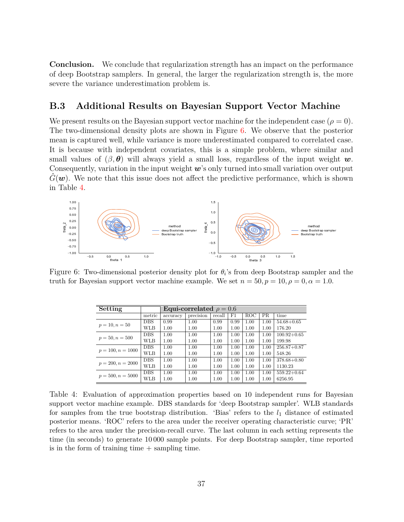**Conclusion.** We conclude that regularization strength has an impact on the performance of deep Bootstrap samplers. In general, the larger the regularization strength is, the more severe the variance underestimation problem is.

#### <span id="page-36-0"></span>**B.3 Additional Results on Bayesian Support Vector Machine**

We present results on the Bayesian support vector machine for the independent case  $(\rho = 0)$ . The two-dimensional density plots are shown in Figure [6.](#page-36-1) We observe that the posterior mean is captured well, while variance is more underestimated compared to correlated case. It is because with independent covariates, this is a simple problem, where similar and small values of  $(\beta, \theta)$  will always yield a small loss, regardless of the input weight w. Consequently, variation in the input weight  $w$ 's only turned into small variation over output  $G(\mathbf{w})$ . We note that this issue does not affect the predictive performance, which is shown in Table [4.](#page-36-2)

<span id="page-36-1"></span>

<span id="page-36-2"></span>Figure 6: Two-dimensional posterior density plot for  $\theta_i$ 's from deep Bootstrap sampler and the truth for Bayesian support vector machine example. We set  $n = 50, p = 10, \rho = 0, \alpha = 1.0$ .

| Setting             |            | Equi-correlated $\rho = 0.6$ |           |        |      |                      |                                                                      |                 |  |  |  |
|---------------------|------------|------------------------------|-----------|--------|------|----------------------|----------------------------------------------------------------------|-----------------|--|--|--|
|                     | metric     | accuracy                     | precision | recall | F1   | <b>ROC</b>           | <b>PR</b>                                                            | time            |  |  |  |
| $p = 10, n = 50$    | <b>DBS</b> | 0.99                         | 1.00      | 0.99   | 0.99 | 1.00                 | 1.00                                                                 | $54.68 + 0.65$  |  |  |  |
|                     | WLB        | 1.00                         | 1.00      | 1.00   | 1.00 | 1.00                 | 1.00<br>1.00<br>1.00<br>1.00<br>1.00<br>1.00<br>1.00<br>1.00<br>1.00 | 176.20          |  |  |  |
| $p = 50, n = 500$   | <b>DBS</b> | 1.00                         | 1.00      | 1.00   | 1.00 | 1.00                 |                                                                      | $100.92 + 0.65$ |  |  |  |
|                     | WLB        | 1.00                         | 1.00      | 1.00   | 1.00 | 1.00                 |                                                                      | 199.98          |  |  |  |
| $p = 100, n = 1000$ | <b>DBS</b> | 1.00                         | 1.00      | 1.00   | 1.00 | 1.00                 |                                                                      | $256.87 + 0.87$ |  |  |  |
|                     | WLB        | 1.00                         | 1.00      | 1.00   | 1.00 | 1.00<br>1.00<br>1.00 |                                                                      | 548.26          |  |  |  |
|                     | <b>DBS</b> | 1.00                         | 1.00      | 1.00   | 1.00 |                      |                                                                      | $378.68 + 0.80$ |  |  |  |
| $p = 200, n = 2000$ | WLB        | 1.00                         | 1.00      | 1.00   | 1.00 |                      |                                                                      | 1130.23         |  |  |  |
| $p = 500, n = 5000$ | <b>DBS</b> | 1.00                         | 1.00      | 1.00   | 1.00 | 1.00                 |                                                                      | $559.22 + 0.64$ |  |  |  |
|                     | WLB        | 1.00                         | 1.00      | 1.00   | 1.00 | 1.00                 |                                                                      | 6256.95         |  |  |  |

Table 4: Evaluation of approximation properties based on 10 independent runs for Bayesian support vector machine example. DBS standards for 'deep Bootstrap sampler'. WLB standards for samples from the true bootstrap distribution. 'Bias' refers to the  $l_1$  distance of estimated posterior means. 'ROC' refers to the area under the receiver operating characteristic curve; 'PR' refers to the area under the precision-recall curve. The last column in each setting represents the time (in seconds) to generate 10 000 sample points. For deep Bootstrap sampler, time reported is in the form of training time  $+$  sampling time.